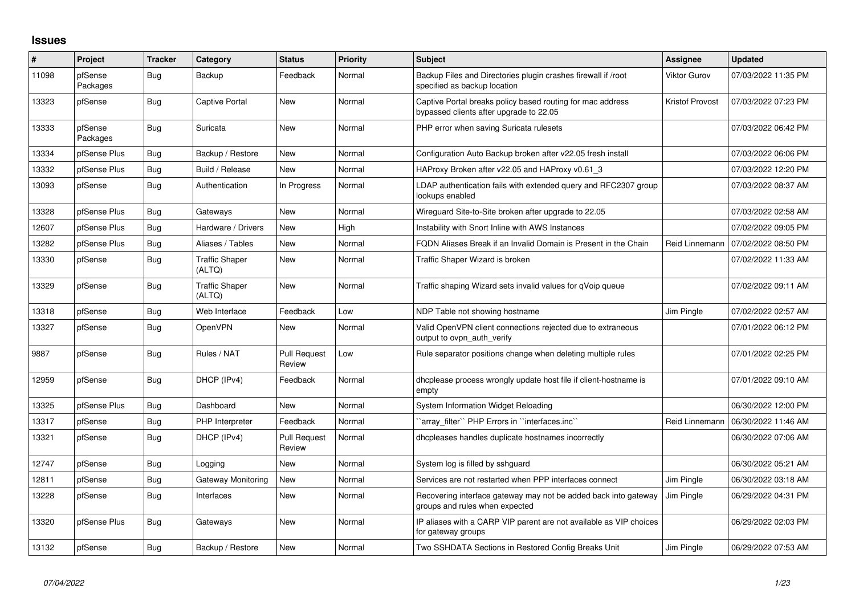## **Issues**

| #     | <b>Project</b>      | <b>Tracker</b> | Category                        | <b>Status</b>                 | <b>Priority</b> | <b>Subject</b>                                                                                        | <b>Assignee</b>     | <b>Updated</b>      |
|-------|---------------------|----------------|---------------------------------|-------------------------------|-----------------|-------------------------------------------------------------------------------------------------------|---------------------|---------------------|
| 11098 | pfSense<br>Packages | Bug            | Backup                          | Feedback                      | Normal          | Backup Files and Directories plugin crashes firewall if /root<br>specified as backup location         | <b>Viktor Gurov</b> | 07/03/2022 11:35 PM |
| 13323 | pfSense             | <b>Bug</b>     | Captive Portal                  | New                           | Normal          | Captive Portal breaks policy based routing for mac address<br>bypassed clients after upgrade to 22.05 | Kristof Provost     | 07/03/2022 07:23 PM |
| 13333 | pfSense<br>Packages | Bug            | Suricata                        | New                           | Normal          | PHP error when saving Suricata rulesets                                                               |                     | 07/03/2022 06:42 PM |
| 13334 | pfSense Plus        | Bug            | Backup / Restore                | <b>New</b>                    | Normal          | Configuration Auto Backup broken after v22.05 fresh install                                           |                     | 07/03/2022 06:06 PM |
| 13332 | pfSense Plus        | Bug            | Build / Release                 | New                           | Normal          | HAProxy Broken after v22.05 and HAProxy v0.61 3                                                       |                     | 07/03/2022 12:20 PM |
| 13093 | pfSense             | <b>Bug</b>     | Authentication                  | In Progress                   | Normal          | LDAP authentication fails with extended query and RFC2307 group<br>lookups enabled                    |                     | 07/03/2022 08:37 AM |
| 13328 | pfSense Plus        | <b>Bug</b>     | Gateways                        | New                           | Normal          | Wireguard Site-to-Site broken after upgrade to 22.05                                                  |                     | 07/03/2022 02:58 AM |
| 12607 | pfSense Plus        | Bug            | Hardware / Drivers              | New                           | High            | Instability with Snort Inline with AWS Instances                                                      |                     | 07/02/2022 09:05 PM |
| 13282 | pfSense Plus        | <b>Bug</b>     | Aliases / Tables                | New                           | Normal          | FQDN Aliases Break if an Invalid Domain is Present in the Chain                                       | Reid Linnemann      | 07/02/2022 08:50 PM |
| 13330 | pfSense             | Bug            | <b>Traffic Shaper</b><br>(ALTQ) | New                           | Normal          | Traffic Shaper Wizard is broken                                                                       |                     | 07/02/2022 11:33 AM |
| 13329 | pfSense             | <b>Bug</b>     | <b>Traffic Shaper</b><br>(ALTQ) | <b>New</b>                    | Normal          | Traffic shaping Wizard sets invalid values for qVoip queue                                            |                     | 07/02/2022 09:11 AM |
| 13318 | pfSense             | <b>Bug</b>     | Web Interface                   | Feedback                      | Low             | NDP Table not showing hostname                                                                        | Jim Pingle          | 07/02/2022 02:57 AM |
| 13327 | pfSense             | Bug            | OpenVPN                         | New                           | Normal          | Valid OpenVPN client connections rejected due to extraneous<br>output to ovpn auth verify             |                     | 07/01/2022 06:12 PM |
| 9887  | pfSense             | Bug            | Rules / NAT                     | <b>Pull Request</b><br>Review | Low             | Rule separator positions change when deleting multiple rules                                          |                     | 07/01/2022 02:25 PM |
| 12959 | pfSense             | <b>Bug</b>     | DHCP (IPv4)                     | Feedback                      | Normal          | dhcplease process wrongly update host file if client-hostname is<br>empty                             |                     | 07/01/2022 09:10 AM |
| 13325 | pfSense Plus        | Bug            | Dashboard                       | <b>New</b>                    | Normal          | System Information Widget Reloading                                                                   |                     | 06/30/2022 12:00 PM |
| 13317 | pfSense             | Bug            | PHP Interpreter                 | Feedback                      | Normal          | 'array_filter'' PHP Errors in ''interfaces.inc''                                                      | Reid Linnemann      | 06/30/2022 11:46 AM |
| 13321 | pfSense             | Bug            | DHCP (IPv4)                     | <b>Pull Request</b><br>Review | Normal          | dhcpleases handles duplicate hostnames incorrectly                                                    |                     | 06/30/2022 07:06 AM |
| 12747 | pfSense             | Bug            | Logging                         | New                           | Normal          | System log is filled by sshguard                                                                      |                     | 06/30/2022 05:21 AM |
| 12811 | pfSense             | <b>Bug</b>     | Gateway Monitoring              | New                           | Normal          | Services are not restarted when PPP interfaces connect                                                | Jim Pingle          | 06/30/2022 03:18 AM |
| 13228 | pfSense             | <b>Bug</b>     | Interfaces                      | New                           | Normal          | Recovering interface gateway may not be added back into gateway<br>groups and rules when expected     | Jim Pingle          | 06/29/2022 04:31 PM |
| 13320 | pfSense Plus        | Bug            | Gateways                        | New                           | Normal          | IP aliases with a CARP VIP parent are not available as VIP choices<br>for gateway groups              |                     | 06/29/2022 02:03 PM |
| 13132 | pfSense             | <b>Bug</b>     | Backup / Restore                | <b>New</b>                    | Normal          | Two SSHDATA Sections in Restored Config Breaks Unit                                                   | Jim Pingle          | 06/29/2022 07:53 AM |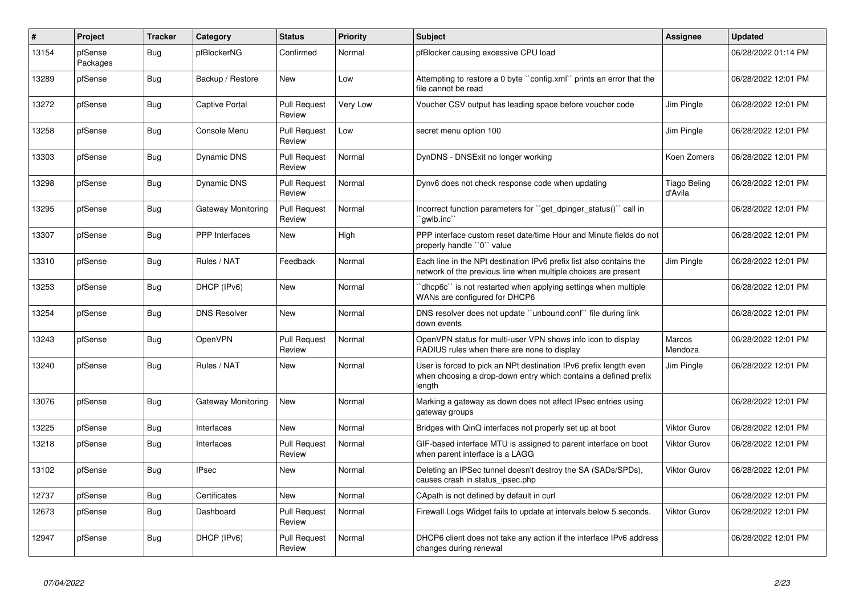| $\sharp$ | Project             | <b>Tracker</b> | Category              | <b>Status</b>                 | <b>Priority</b> | <b>Subject</b>                                                                                                                                 | Assignee                       | <b>Updated</b>      |
|----------|---------------------|----------------|-----------------------|-------------------------------|-----------------|------------------------------------------------------------------------------------------------------------------------------------------------|--------------------------------|---------------------|
| 13154    | pfSense<br>Packages | Bug            | pfBlockerNG           | Confirmed                     | Normal          | pfBlocker causing excessive CPU load                                                                                                           |                                | 06/28/2022 01:14 PM |
| 13289    | pfSense             | Bug            | Backup / Restore      | New                           | Low             | Attempting to restore a 0 byte "config.xml" prints an error that the<br>file cannot be read                                                    |                                | 06/28/2022 12:01 PM |
| 13272    | pfSense             | <b>Bug</b>     | <b>Captive Portal</b> | <b>Pull Request</b><br>Review | Very Low        | Voucher CSV output has leading space before voucher code                                                                                       | Jim Pingle                     | 06/28/2022 12:01 PM |
| 13258    | pfSense             | Bug            | Console Menu          | <b>Pull Request</b><br>Review | Low             | secret menu option 100                                                                                                                         | Jim Pingle                     | 06/28/2022 12:01 PM |
| 13303    | pfSense             | Bug            | Dynamic DNS           | <b>Pull Request</b><br>Review | Normal          | DynDNS - DNSExit no longer working                                                                                                             | Koen Zomers                    | 06/28/2022 12:01 PM |
| 13298    | pfSense             | <b>Bug</b>     | Dynamic DNS           | <b>Pull Request</b><br>Review | Normal          | Dynv6 does not check response code when updating                                                                                               | <b>Tiago Beling</b><br>d'Avila | 06/28/2022 12:01 PM |
| 13295    | pfSense             | Bug            | Gateway Monitoring    | <b>Pull Request</b><br>Review | Normal          | Incorrect function parameters for "get_dpinger_status()" call in<br>`awlb.inc``                                                                |                                | 06/28/2022 12:01 PM |
| 13307    | pfSense             | Bug            | <b>PPP</b> Interfaces | New                           | High            | PPP interface custom reset date/time Hour and Minute fields do not<br>properly handle "0" value                                                |                                | 06/28/2022 12:01 PM |
| 13310    | pfSense             | <b>Bug</b>     | Rules / NAT           | Feedback                      | Normal          | Each line in the NPt destination IPv6 prefix list also contains the<br>network of the previous line when multiple choices are present          | Jim Pingle                     | 06/28/2022 12:01 PM |
| 13253    | pfSense             | Bug            | DHCP (IPv6)           | New                           | Normal          | 'dhcp6c' is not restarted when applying settings when multiple<br>WANs are configured for DHCP6                                                |                                | 06/28/2022 12:01 PM |
| 13254    | pfSense             | <b>Bug</b>     | <b>DNS Resolver</b>   | New                           | Normal          | DNS resolver does not update "unbound.conf" file during link<br>down events                                                                    |                                | 06/28/2022 12:01 PM |
| 13243    | pfSense             | Bug            | OpenVPN               | <b>Pull Request</b><br>Review | Normal          | OpenVPN status for multi-user VPN shows info icon to display<br>RADIUS rules when there are none to display                                    | Marcos<br>Mendoza              | 06/28/2022 12:01 PM |
| 13240    | pfSense             | Bug            | Rules / NAT           | New                           | Normal          | User is forced to pick an NPt destination IPv6 prefix length even<br>when choosing a drop-down entry which contains a defined prefix<br>length | Jim Pingle                     | 06/28/2022 12:01 PM |
| 13076    | pfSense             | <b>Bug</b>     | Gateway Monitoring    | <b>New</b>                    | Normal          | Marking a gateway as down does not affect IPsec entries using<br>gateway groups                                                                |                                | 06/28/2022 12:01 PM |
| 13225    | pfSense             | <b>Bug</b>     | Interfaces            | <b>New</b>                    | Normal          | Bridges with QinQ interfaces not properly set up at boot                                                                                       | <b>Viktor Gurov</b>            | 06/28/2022 12:01 PM |
| 13218    | pfSense             | <b>Bug</b>     | Interfaces            | <b>Pull Request</b><br>Review | Normal          | GIF-based interface MTU is assigned to parent interface on boot<br>when parent interface is a LAGG                                             | <b>Viktor Gurov</b>            | 06/28/2022 12:01 PM |
| 13102    | pfSense             | Bug            | <b>IPsec</b>          | New                           | Normal          | Deleting an IPSec tunnel doesn't destroy the SA (SADs/SPDs),<br>causes crash in status_ipsec.php                                               | <b>Viktor Gurov</b>            | 06/28/2022 12:01 PM |
| 12737    | pfSense             | Bug            | Certificates          | <b>New</b>                    | Normal          | CApath is not defined by default in curl                                                                                                       |                                | 06/28/2022 12:01 PM |
| 12673    | pfSense             | <b>Bug</b>     | Dashboard             | <b>Pull Request</b><br>Review | Normal          | Firewall Logs Widget fails to update at intervals below 5 seconds.                                                                             | <b>Viktor Gurov</b>            | 06/28/2022 12:01 PM |
| 12947    | pfSense             | Bug            | DHCP (IPv6)           | <b>Pull Request</b><br>Review | Normal          | DHCP6 client does not take any action if the interface IPv6 address<br>changes during renewal                                                  |                                | 06/28/2022 12:01 PM |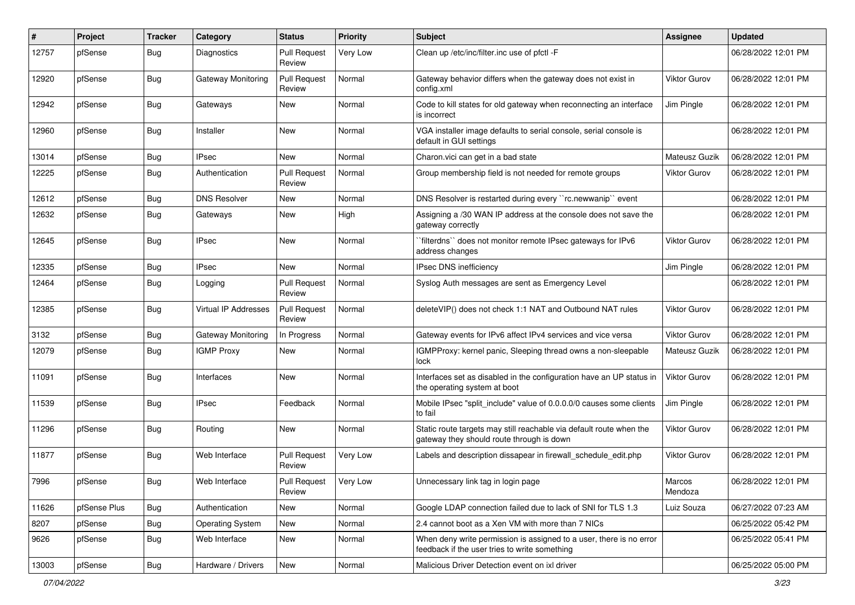| #     | Project      | <b>Tracker</b> | Category                | <b>Status</b>                 | <b>Priority</b> | <b>Subject</b>                                                                                                       | <b>Assignee</b>     | <b>Updated</b>      |
|-------|--------------|----------------|-------------------------|-------------------------------|-----------------|----------------------------------------------------------------------------------------------------------------------|---------------------|---------------------|
| 12757 | pfSense      | Bug            | Diagnostics             | <b>Pull Request</b><br>Review | Very Low        | Clean up /etc/inc/filter.inc use of pfctl -F                                                                         |                     | 06/28/2022 12:01 PM |
| 12920 | pfSense      | Bug            | Gateway Monitoring      | <b>Pull Request</b><br>Review | Normal          | Gateway behavior differs when the gateway does not exist in<br>config.xml                                            | <b>Viktor Gurov</b> | 06/28/2022 12:01 PM |
| 12942 | pfSense      | <b>Bug</b>     | Gateways                | <b>New</b>                    | Normal          | Code to kill states for old gateway when reconnecting an interface<br>is incorrect                                   | Jim Pingle          | 06/28/2022 12:01 PM |
| 12960 | pfSense      | <b>Bug</b>     | Installer               | New                           | Normal          | VGA installer image defaults to serial console, serial console is<br>default in GUI settings                         |                     | 06/28/2022 12:01 PM |
| 13014 | pfSense      | <b>Bug</b>     | <b>IPsec</b>            | New                           | Normal          | Charon.vici can get in a bad state                                                                                   | Mateusz Guzik       | 06/28/2022 12:01 PM |
| 12225 | pfSense      | <b>Bug</b>     | Authentication          | <b>Pull Request</b><br>Review | Normal          | Group membership field is not needed for remote groups                                                               | <b>Viktor Gurov</b> | 06/28/2022 12:01 PM |
| 12612 | pfSense      | <b>Bug</b>     | <b>DNS Resolver</b>     | New                           | Normal          | DNS Resolver is restarted during every "rc.newwanip" event                                                           |                     | 06/28/2022 12:01 PM |
| 12632 | pfSense      | <b>Bug</b>     | Gateways                | New                           | High            | Assigning a /30 WAN IP address at the console does not save the<br>gateway correctly                                 |                     | 06/28/2022 12:01 PM |
| 12645 | pfSense      | Bug            | <b>IPsec</b>            | New                           | Normal          | `filterdns`` does not monitor remote IPsec gateways for IPv6<br>address changes                                      | <b>Viktor Gurov</b> | 06/28/2022 12:01 PM |
| 12335 | pfSense      | <b>Bug</b>     | <b>IPsec</b>            | New                           | Normal          | <b>IPsec DNS inefficiency</b>                                                                                        | Jim Pingle          | 06/28/2022 12:01 PM |
| 12464 | pfSense      | <b>Bug</b>     | Logging                 | <b>Pull Request</b><br>Review | Normal          | Syslog Auth messages are sent as Emergency Level                                                                     |                     | 06/28/2022 12:01 PM |
| 12385 | pfSense      | Bug            | Virtual IP Addresses    | <b>Pull Request</b><br>Review | Normal          | deleteVIP() does not check 1:1 NAT and Outbound NAT rules                                                            | <b>Viktor Gurov</b> | 06/28/2022 12:01 PM |
| 3132  | pfSense      | Bug            | Gateway Monitoring      | In Progress                   | Normal          | Gateway events for IPv6 affect IPv4 services and vice versa                                                          | <b>Viktor Gurov</b> | 06/28/2022 12:01 PM |
| 12079 | pfSense      | Bug            | <b>IGMP Proxy</b>       | New                           | Normal          | IGMPProxy: kernel panic, Sleeping thread owns a non-sleepable<br>lock                                                | Mateusz Guzik       | 06/28/2022 12:01 PM |
| 11091 | pfSense      | Bug            | Interfaces              | New                           | Normal          | Interfaces set as disabled in the configuration have an UP status in<br>the operating system at boot                 | <b>Viktor Gurov</b> | 06/28/2022 12:01 PM |
| 11539 | pfSense      | <b>Bug</b>     | <b>IPsec</b>            | Feedback                      | Normal          | Mobile IPsec "split_include" value of 0.0.0.0/0 causes some clients<br>to fail                                       | Jim Pingle          | 06/28/2022 12:01 PM |
| 11296 | pfSense      | <b>Bug</b>     | Routing                 | New                           | Normal          | Static route targets may still reachable via default route when the<br>gateway they should route through is down     | <b>Viktor Gurov</b> | 06/28/2022 12:01 PM |
| 11877 | pfSense      | <b>Bug</b>     | Web Interface           | <b>Pull Request</b><br>Review | Very Low        | Labels and description dissapear in firewall_schedule_edit.php                                                       | <b>Viktor Gurov</b> | 06/28/2022 12:01 PM |
| 7996  | pfSense      | I Bug          | Web Interface           | <b>Pull Request</b><br>Review | Very Low        | Unnecessary link tag in login page                                                                                   | Marcos<br>Mendoza   | 06/28/2022 12:01 PM |
| 11626 | pfSense Plus | Bug            | Authentication          | New                           | Normal          | Google LDAP connection failed due to lack of SNI for TLS 1.3                                                         | Luiz Souza          | 06/27/2022 07:23 AM |
| 8207  | pfSense      | Bug            | <b>Operating System</b> | New                           | Normal          | 2.4 cannot boot as a Xen VM with more than 7 NICs                                                                    |                     | 06/25/2022 05:42 PM |
| 9626  | pfSense      | Bug            | Web Interface           | New                           | Normal          | When deny write permission is assigned to a user, there is no error<br>feedback if the user tries to write something |                     | 06/25/2022 05:41 PM |
| 13003 | pfSense      | Bug            | Hardware / Drivers      | New                           | Normal          | Malicious Driver Detection event on ixl driver                                                                       |                     | 06/25/2022 05:00 PM |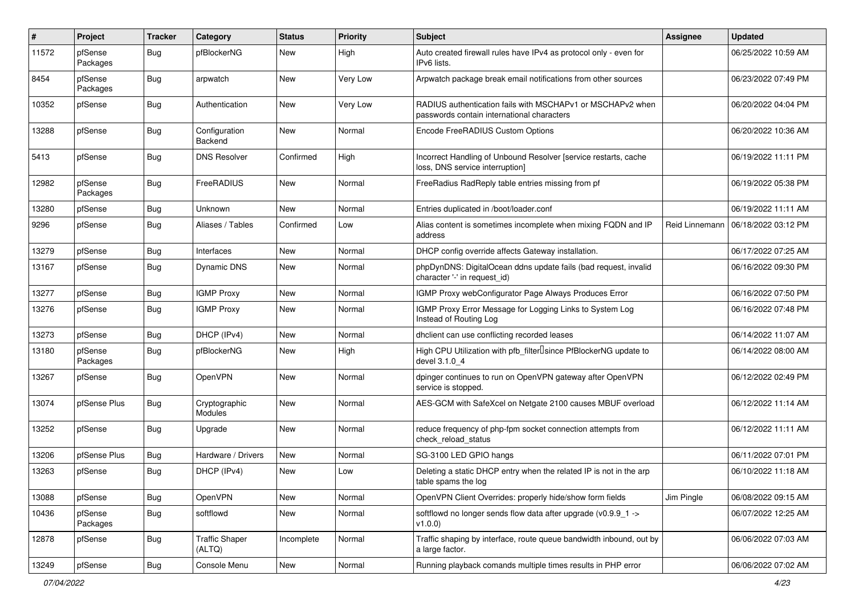| $\pmb{\#}$ | Project             | <b>Tracker</b> | Category                        | <b>Status</b> | <b>Priority</b> | <b>Subject</b>                                                                                           | Assignee       | <b>Updated</b>      |
|------------|---------------------|----------------|---------------------------------|---------------|-----------------|----------------------------------------------------------------------------------------------------------|----------------|---------------------|
| 11572      | pfSense<br>Packages | Bug            | pfBlockerNG                     | New           | High            | Auto created firewall rules have IPv4 as protocol only - even for<br>IPv6 lists.                         |                | 06/25/2022 10:59 AM |
| 8454       | pfSense<br>Packages | Bug            | arpwatch                        | New           | Very Low        | Arpwatch package break email notifications from other sources                                            |                | 06/23/2022 07:49 PM |
| 10352      | pfSense             | Bug            | Authentication                  | New           | Very Low        | RADIUS authentication fails with MSCHAPv1 or MSCHAPv2 when<br>passwords contain international characters |                | 06/20/2022 04:04 PM |
| 13288      | pfSense             | Bug            | Configuration<br>Backend        | New           | Normal          | Encode FreeRADIUS Custom Options                                                                         |                | 06/20/2022 10:36 AM |
| 5413       | pfSense             | Bug            | <b>DNS Resolver</b>             | Confirmed     | High            | Incorrect Handling of Unbound Resolver [service restarts, cache<br>loss, DNS service interruption]       |                | 06/19/2022 11:11 PM |
| 12982      | pfSense<br>Packages | Bug            | FreeRADIUS                      | New           | Normal          | FreeRadius RadReply table entries missing from pf                                                        |                | 06/19/2022 05:38 PM |
| 13280      | pfSense             | <b>Bug</b>     | Unknown                         | New           | Normal          | Entries duplicated in /boot/loader.conf                                                                  |                | 06/19/2022 11:11 AM |
| 9296       | pfSense             | Bug            | Aliases / Tables                | Confirmed     | Low             | Alias content is sometimes incomplete when mixing FQDN and IP<br>address                                 | Reid Linnemann | 06/18/2022 03:12 PM |
| 13279      | pfSense             | <b>Bug</b>     | Interfaces                      | New           | Normal          | DHCP config override affects Gateway installation.                                                       |                | 06/17/2022 07:25 AM |
| 13167      | pfSense             | Bug            | Dynamic DNS                     | New           | Normal          | phpDynDNS: DigitalOcean ddns update fails (bad request, invalid<br>character '-' in request_id)          |                | 06/16/2022 09:30 PM |
| 13277      | pfSense             | Bug            | <b>IGMP Proxy</b>               | New           | Normal          | IGMP Proxy webConfigurator Page Always Produces Error                                                    |                | 06/16/2022 07:50 PM |
| 13276      | pfSense             | Bug            | <b>IGMP Proxy</b>               | New           | Normal          | IGMP Proxy Error Message for Logging Links to System Log<br>Instead of Routing Log                       |                | 06/16/2022 07:48 PM |
| 13273      | pfSense             | <b>Bug</b>     | DHCP (IPv4)                     | New           | Normal          | dhclient can use conflicting recorded leases                                                             |                | 06/14/2022 11:07 AM |
| 13180      | pfSense<br>Packages | Bug            | pfBlockerNG                     | New           | High            | High CPU Utilization with pfb_filterlsince PfBlockerNG update to<br>devel 3.1.0 4                        |                | 06/14/2022 08:00 AM |
| 13267      | pfSense             | Bug            | OpenVPN                         | New           | Normal          | dpinger continues to run on OpenVPN gateway after OpenVPN<br>service is stopped.                         |                | 06/12/2022 02:49 PM |
| 13074      | pfSense Plus        | Bug            | Cryptographic<br><b>Modules</b> | New           | Normal          | AES-GCM with SafeXcel on Netgate 2100 causes MBUF overload                                               |                | 06/12/2022 11:14 AM |
| 13252      | pfSense             | Bug            | Upgrade                         | New           | Normal          | reduce frequency of php-fpm socket connection attempts from<br>check_reload_status                       |                | 06/12/2022 11:11 AM |
| 13206      | pfSense Plus        | Bug            | Hardware / Drivers              | New           | Normal          | SG-3100 LED GPIO hangs                                                                                   |                | 06/11/2022 07:01 PM |
| 13263      | pfSense             | <b>Bug</b>     | DHCP (IPv4)                     | <b>New</b>    | Low             | Deleting a static DHCP entry when the related IP is not in the arp<br>table spams the log                |                | 06/10/2022 11:18 AM |
| 13088      | pfSense             | Bug            | OpenVPN                         | New           | Normal          | OpenVPN Client Overrides: properly hide/show form fields                                                 | Jim Pingle     | 06/08/2022 09:15 AM |
| 10436      | pfSense<br>Packages | Bug            | softflowd                       | New           | Normal          | softflowd no longer sends flow data after upgrade (v0.9.9_1 -><br>v1.0.0                                 |                | 06/07/2022 12:25 AM |
| 12878      | pfSense             | <b>Bug</b>     | <b>Traffic Shaper</b><br>(ALTQ) | Incomplete    | Normal          | Traffic shaping by interface, route queue bandwidth inbound, out by<br>a large factor.                   |                | 06/06/2022 07:03 AM |
| 13249      | pfSense             | Bug            | Console Menu                    | New           | Normal          | Running playback comands multiple times results in PHP error                                             |                | 06/06/2022 07:02 AM |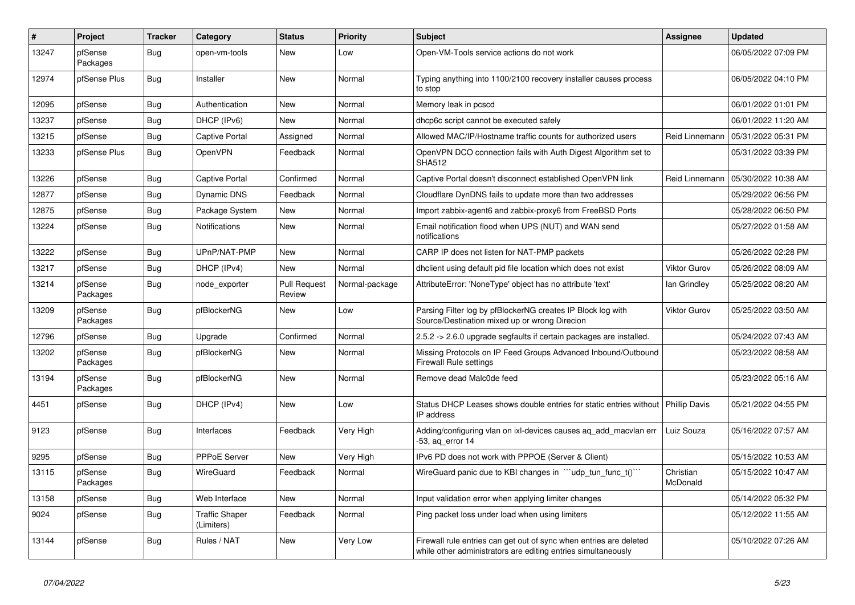| $\vert$ # | Project             | <b>Tracker</b> | Category                            | <b>Status</b>                 | <b>Priority</b> | <b>Subject</b>                                                                                                                      | Assignee              | <b>Updated</b>      |
|-----------|---------------------|----------------|-------------------------------------|-------------------------------|-----------------|-------------------------------------------------------------------------------------------------------------------------------------|-----------------------|---------------------|
| 13247     | pfSense<br>Packages | Bug            | open-vm-tools                       | New                           | Low             | Open-VM-Tools service actions do not work                                                                                           |                       | 06/05/2022 07:09 PM |
| 12974     | pfSense Plus        | <b>Bug</b>     | Installer                           | <b>New</b>                    | Normal          | Typing anything into 1100/2100 recovery installer causes process<br>to stop                                                         |                       | 06/05/2022 04:10 PM |
| 12095     | pfSense             | Bug            | Authentication                      | <b>New</b>                    | Normal          | Memory leak in pcscd                                                                                                                |                       | 06/01/2022 01:01 PM |
| 13237     | pfSense             | Bug            | DHCP (IPv6)                         | <b>New</b>                    | Normal          | dhcp6c script cannot be executed safely                                                                                             |                       | 06/01/2022 11:20 AM |
| 13215     | pfSense             | Bug            | Captive Portal                      | Assigned                      | Normal          | Allowed MAC/IP/Hostname traffic counts for authorized users                                                                         | Reid Linnemann        | 05/31/2022 05:31 PM |
| 13233     | pfSense Plus        | <b>Bug</b>     | OpenVPN                             | Feedback                      | Normal          | OpenVPN DCO connection fails with Auth Digest Algorithm set to<br><b>SHA512</b>                                                     |                       | 05/31/2022 03:39 PM |
| 13226     | pfSense             | Bug            | <b>Captive Portal</b>               | Confirmed                     | Normal          | Captive Portal doesn't disconnect established OpenVPN link                                                                          | Reid Linnemann        | 05/30/2022 10:38 AM |
| 12877     | pfSense             | Bug            | Dynamic DNS                         | Feedback                      | Normal          | Cloudflare DynDNS fails to update more than two addresses                                                                           |                       | 05/29/2022 06:56 PM |
| 12875     | pfSense             | <b>Bug</b>     | Package System                      | New                           | Normal          | Import zabbix-agent6 and zabbix-proxy6 from FreeBSD Ports                                                                           |                       | 05/28/2022 06:50 PM |
| 13224     | pfSense             | <b>Bug</b>     | Notifications                       | New                           | Normal          | Email notification flood when UPS (NUT) and WAN send<br>notifications                                                               |                       | 05/27/2022 01:58 AM |
| 13222     | pfSense             | <b>Bug</b>     | UPnP/NAT-PMP                        | New                           | Normal          | CARP IP does not listen for NAT-PMP packets                                                                                         |                       | 05/26/2022 02:28 PM |
| 13217     | pfSense             | <b>Bug</b>     | DHCP (IPv4)                         | New                           | Normal          | dhclient using default pid file location which does not exist                                                                       | <b>Viktor Gurov</b>   | 05/26/2022 08:09 AM |
| 13214     | pfSense<br>Packages | <b>Bug</b>     | node exporter                       | <b>Pull Request</b><br>Review | Normal-package  | AttributeError: 'NoneType' object has no attribute 'text'                                                                           | lan Grindley          | 05/25/2022 08:20 AM |
| 13209     | pfSense<br>Packages | <b>Bug</b>     | pfBlockerNG                         | New                           | Low             | Parsing Filter log by pfBlockerNG creates IP Block log with<br>Source/Destination mixed up or wrong Direcion                        | <b>Viktor Gurov</b>   | 05/25/2022 03:50 AM |
| 12796     | pfSense             | Bug            | Upgrade                             | Confirmed                     | Normal          | 2.5.2 -> 2.6.0 upgrade segfaults if certain packages are installed.                                                                 |                       | 05/24/2022 07:43 AM |
| 13202     | pfSense<br>Packages | <b>Bug</b>     | pfBlockerNG                         | <b>New</b>                    | Normal          | Missing Protocols on IP Feed Groups Advanced Inbound/Outbound<br><b>Firewall Rule settings</b>                                      |                       | 05/23/2022 08:58 AM |
| 13194     | pfSense<br>Packages | Bug            | pfBlockerNG                         | New                           | Normal          | Remove dead Malc0de feed                                                                                                            |                       | 05/23/2022 05:16 AM |
| 4451      | pfSense             | Bug            | DHCP (IPv4)                         | New                           | Low             | Status DHCP Leases shows double entries for static entries without<br>IP address                                                    | <b>Phillip Davis</b>  | 05/21/2022 04:55 PM |
| 9123      | pfSense             | <b>Bug</b>     | Interfaces                          | Feedback                      | Very High       | Adding/configuring vlan on ixl-devices causes aq_add_macvlan err<br>-53, ag error 14                                                | Luiz Souza            | 05/16/2022 07:57 AM |
| 9295      | pfSense             | <b>Bug</b>     | <b>PPPoE Server</b>                 | <b>New</b>                    | Very High       | IPv6 PD does not work with PPPOE (Server & Client)                                                                                  |                       | 05/15/2022 10:53 AM |
| 13115     | pfSense<br>Packages | Bug            | WireGuard                           | Feedback                      | Normal          | WireGuard panic due to KBI changes in "ludp_tun_func_t()"                                                                           | Christian<br>McDonald | 05/15/2022 10:47 AM |
| 13158     | pfSense             | <b>Bug</b>     | Web Interface                       | <b>New</b>                    | Normal          | Input validation error when applying limiter changes                                                                                |                       | 05/14/2022 05:32 PM |
| 9024      | pfSense             | Bug            | <b>Traffic Shaper</b><br>(Limiters) | Feedback                      | Normal          | Ping packet loss under load when using limiters                                                                                     |                       | 05/12/2022 11:55 AM |
| 13144     | pfSense             | <b>Bug</b>     | Rules / NAT                         | <b>New</b>                    | Very Low        | Firewall rule entries can get out of sync when entries are deleted<br>while other administrators are editing entries simultaneously |                       | 05/10/2022 07:26 AM |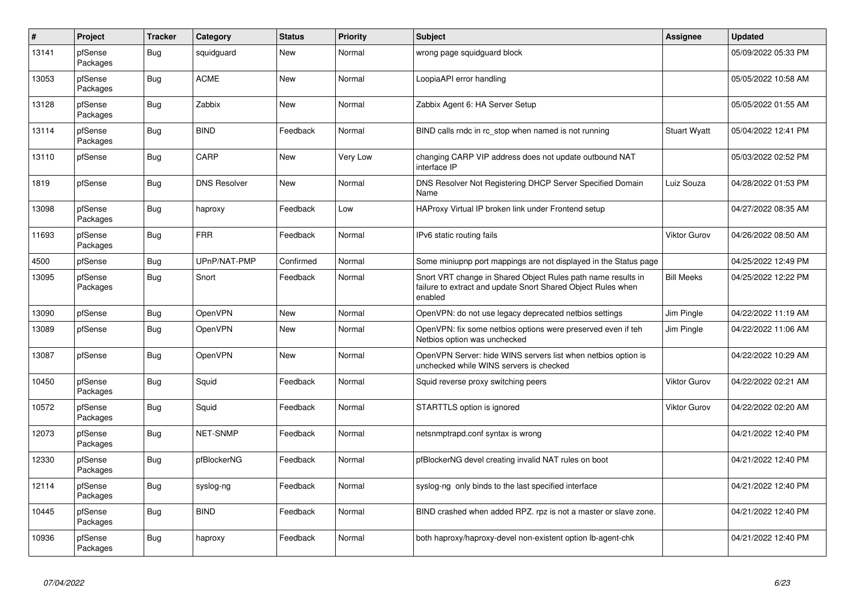| $\vert$ # | Project             | <b>Tracker</b> | Category            | <b>Status</b> | <b>Priority</b> | <b>Subject</b>                                                                                                                          | Assignee            | <b>Updated</b>      |
|-----------|---------------------|----------------|---------------------|---------------|-----------------|-----------------------------------------------------------------------------------------------------------------------------------------|---------------------|---------------------|
| 13141     | pfSense<br>Packages | Bug            | squidguard          | New           | Normal          | wrong page squidguard block                                                                                                             |                     | 05/09/2022 05:33 PM |
| 13053     | pfSense<br>Packages | Bug            | <b>ACME</b>         | New           | Normal          | LoopiaAPI error handling                                                                                                                |                     | 05/05/2022 10:58 AM |
| 13128     | pfSense<br>Packages | <b>Bug</b>     | Zabbix              | <b>New</b>    | Normal          | Zabbix Agent 6: HA Server Setup                                                                                                         |                     | 05/05/2022 01:55 AM |
| 13114     | pfSense<br>Packages | Bug            | <b>BIND</b>         | Feedback      | Normal          | BIND calls rndc in rc stop when named is not running                                                                                    | <b>Stuart Wyatt</b> | 05/04/2022 12:41 PM |
| 13110     | pfSense             | <b>Bug</b>     | CARP                | New           | Very Low        | changing CARP VIP address does not update outbound NAT<br>interface IP                                                                  |                     | 05/03/2022 02:52 PM |
| 1819      | pfSense             | <b>Bug</b>     | <b>DNS Resolver</b> | New           | Normal          | DNS Resolver Not Registering DHCP Server Specified Domain<br>Name                                                                       | Luiz Souza          | 04/28/2022 01:53 PM |
| 13098     | pfSense<br>Packages | <b>Bug</b>     | haproxy             | Feedback      | Low             | HAProxy Virtual IP broken link under Frontend setup                                                                                     |                     | 04/27/2022 08:35 AM |
| 11693     | pfSense<br>Packages | <b>Bug</b>     | <b>FRR</b>          | Feedback      | Normal          | IPv6 static routing fails                                                                                                               | <b>Viktor Gurov</b> | 04/26/2022 08:50 AM |
| 4500      | pfSense             | Bug            | UPnP/NAT-PMP        | Confirmed     | Normal          | Some miniupnp port mappings are not displayed in the Status page                                                                        |                     | 04/25/2022 12:49 PM |
| 13095     | pfSense<br>Packages | <b>Bug</b>     | Snort               | Feedback      | Normal          | Snort VRT change in Shared Object Rules path name results in<br>failure to extract and update Snort Shared Object Rules when<br>enabled | <b>Bill Meeks</b>   | 04/25/2022 12:22 PM |
| 13090     | pfSense             | Bug            | OpenVPN             | New           | Normal          | OpenVPN: do not use legacy deprecated netbios settings                                                                                  | Jim Pingle          | 04/22/2022 11:19 AM |
| 13089     | pfSense             | Bug            | OpenVPN             | New           | Normal          | OpenVPN: fix some netbios options were preserved even if teh<br>Netbios option was unchecked                                            | Jim Pingle          | 04/22/2022 11:06 AM |
| 13087     | pfSense             | <b>Bug</b>     | OpenVPN             | New           | Normal          | OpenVPN Server: hide WINS servers list when netbios option is<br>unchecked while WINS servers is checked                                |                     | 04/22/2022 10:29 AM |
| 10450     | pfSense<br>Packages | <b>Bug</b>     | Squid               | Feedback      | Normal          | Squid reverse proxy switching peers                                                                                                     | <b>Viktor Gurov</b> | 04/22/2022 02:21 AM |
| 10572     | pfSense<br>Packages | <b>Bug</b>     | Squid               | Feedback      | Normal          | STARTTLS option is ignored                                                                                                              | <b>Viktor Gurov</b> | 04/22/2022 02:20 AM |
| 12073     | pfSense<br>Packages | <b>Bug</b>     | NET-SNMP            | Feedback      | Normal          | netsnmptrapd.conf syntax is wrong                                                                                                       |                     | 04/21/2022 12:40 PM |
| 12330     | pfSense<br>Packages | Bug            | pfBlockerNG         | Feedback      | Normal          | pfBlockerNG devel creating invalid NAT rules on boot                                                                                    |                     | 04/21/2022 12:40 PM |
| 12114     | pfSense<br>Packages | <b>Bug</b>     | syslog-ng           | Feedback      | Normal          | syslog-ng only binds to the last specified interface                                                                                    |                     | 04/21/2022 12:40 PM |
| 10445     | pfSense<br>Packages | Bug            | <b>BIND</b>         | Feedback      | Normal          | BIND crashed when added RPZ. rpz is not a master or slave zone.                                                                         |                     | 04/21/2022 12:40 PM |
| 10936     | pfSense<br>Packages | Bug            | haproxy             | Feedback      | Normal          | both haproxy/haproxy-devel non-existent option lb-agent-chk                                                                             |                     | 04/21/2022 12:40 PM |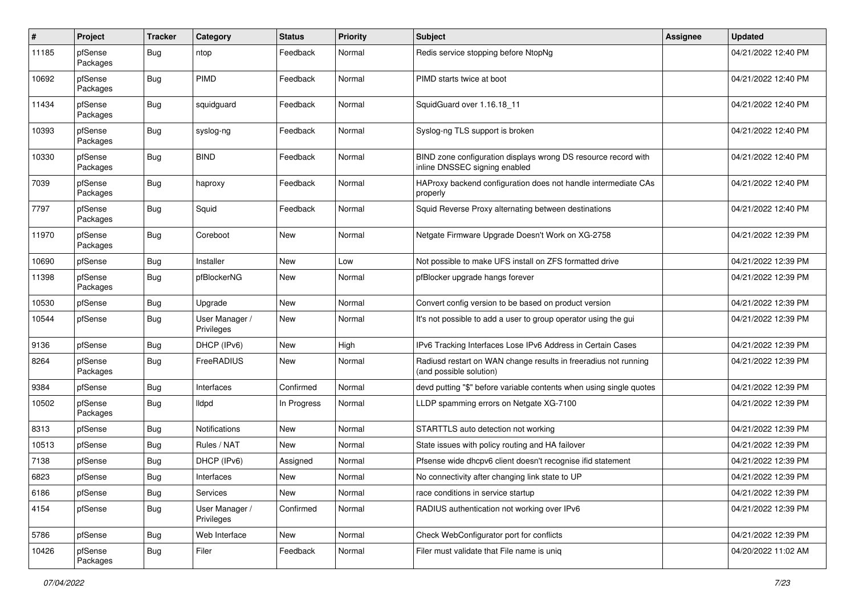| $\#$  | Project             | <b>Tracker</b> | Category                     | <b>Status</b> | <b>Priority</b> | <b>Subject</b>                                                                                  | <b>Assignee</b> | <b>Updated</b>      |
|-------|---------------------|----------------|------------------------------|---------------|-----------------|-------------------------------------------------------------------------------------------------|-----------------|---------------------|
| 11185 | pfSense<br>Packages | <b>Bug</b>     | ntop                         | Feedback      | Normal          | Redis service stopping before NtopNg                                                            |                 | 04/21/2022 12:40 PM |
| 10692 | pfSense<br>Packages | <b>Bug</b>     | <b>PIMD</b>                  | Feedback      | Normal          | PIMD starts twice at boot                                                                       |                 | 04/21/2022 12:40 PM |
| 11434 | pfSense<br>Packages | <b>Bug</b>     | squidguard                   | Feedback      | Normal          | SquidGuard over 1.16.18 11                                                                      |                 | 04/21/2022 12:40 PM |
| 10393 | pfSense<br>Packages | <b>Bug</b>     | syslog-ng                    | Feedback      | Normal          | Syslog-ng TLS support is broken                                                                 |                 | 04/21/2022 12:40 PM |
| 10330 | pfSense<br>Packages | <b>Bug</b>     | <b>BIND</b>                  | Feedback      | Normal          | BIND zone configuration displays wrong DS resource record with<br>inline DNSSEC signing enabled |                 | 04/21/2022 12:40 PM |
| 7039  | pfSense<br>Packages | <b>Bug</b>     | haproxy                      | Feedback      | Normal          | HAProxy backend configuration does not handle intermediate CAs<br>properly                      |                 | 04/21/2022 12:40 PM |
| 7797  | pfSense<br>Packages | Bug            | Squid                        | Feedback      | Normal          | Squid Reverse Proxy alternating between destinations                                            |                 | 04/21/2022 12:40 PM |
| 11970 | pfSense<br>Packages | <b>Bug</b>     | Coreboot                     | New           | Normal          | Netgate Firmware Upgrade Doesn't Work on XG-2758                                                |                 | 04/21/2022 12:39 PM |
| 10690 | pfSense             | Bug            | Installer                    | New           | Low             | Not possible to make UFS install on ZFS formatted drive                                         |                 | 04/21/2022 12:39 PM |
| 11398 | pfSense<br>Packages | <b>Bug</b>     | pfBlockerNG                  | New           | Normal          | pfBlocker upgrade hangs forever                                                                 |                 | 04/21/2022 12:39 PM |
| 10530 | pfSense             | <b>Bug</b>     | Upgrade                      | <b>New</b>    | Normal          | Convert config version to be based on product version                                           |                 | 04/21/2022 12:39 PM |
| 10544 | pfSense             | <b>Bug</b>     | User Manager /<br>Privileges | New           | Normal          | It's not possible to add a user to group operator using the gui                                 |                 | 04/21/2022 12:39 PM |
| 9136  | pfSense             | Bug            | DHCP (IPv6)                  | <b>New</b>    | High            | IPv6 Tracking Interfaces Lose IPv6 Address in Certain Cases                                     |                 | 04/21/2022 12:39 PM |
| 8264  | pfSense<br>Packages | <b>Bug</b>     | FreeRADIUS                   | <b>New</b>    | Normal          | Radiusd restart on WAN change results in freeradius not running<br>(and possible solution)      |                 | 04/21/2022 12:39 PM |
| 9384  | pfSense             | <b>Bug</b>     | Interfaces                   | Confirmed     | Normal          | devd putting "\$" before variable contents when using single quotes                             |                 | 04/21/2022 12:39 PM |
| 10502 | pfSense<br>Packages | <b>Bug</b>     | lldpd                        | In Progress   | Normal          | LLDP spamming errors on Netgate XG-7100                                                         |                 | 04/21/2022 12:39 PM |
| 8313  | pfSense             | Bug            | Notifications                | <b>New</b>    | Normal          | STARTTLS auto detection not working                                                             |                 | 04/21/2022 12:39 PM |
| 10513 | pfSense             | Bug            | Rules / NAT                  | New           | Normal          | State issues with policy routing and HA failover                                                |                 | 04/21/2022 12:39 PM |
| 7138  | pfSense             | Bug            | DHCP (IPv6)                  | Assigned      | Normal          | Pfsense wide dhcpv6 client doesn't recognise ifid statement                                     |                 | 04/21/2022 12:39 PM |
| 6823  | pfSense             | <b>Bug</b>     | Interfaces                   | <b>New</b>    | Normal          | No connectivity after changing link state to UP                                                 |                 | 04/21/2022 12:39 PM |
| 6186  | pfSense             | Bug            | Services                     | New           | Normal          | race conditions in service startup                                                              |                 | 04/21/2022 12:39 PM |
| 4154  | pfSense             | Bug            | User Manager /<br>Privileges | Confirmed     | Normal          | RADIUS authentication not working over IPv6                                                     |                 | 04/21/2022 12:39 PM |
| 5786  | pfSense             | <b>Bug</b>     | Web Interface                | New           | Normal          | Check WebConfigurator port for conflicts                                                        |                 | 04/21/2022 12:39 PM |
| 10426 | pfSense<br>Packages | <b>Bug</b>     | Filer                        | Feedback      | Normal          | Filer must validate that File name is uniq                                                      |                 | 04/20/2022 11:02 AM |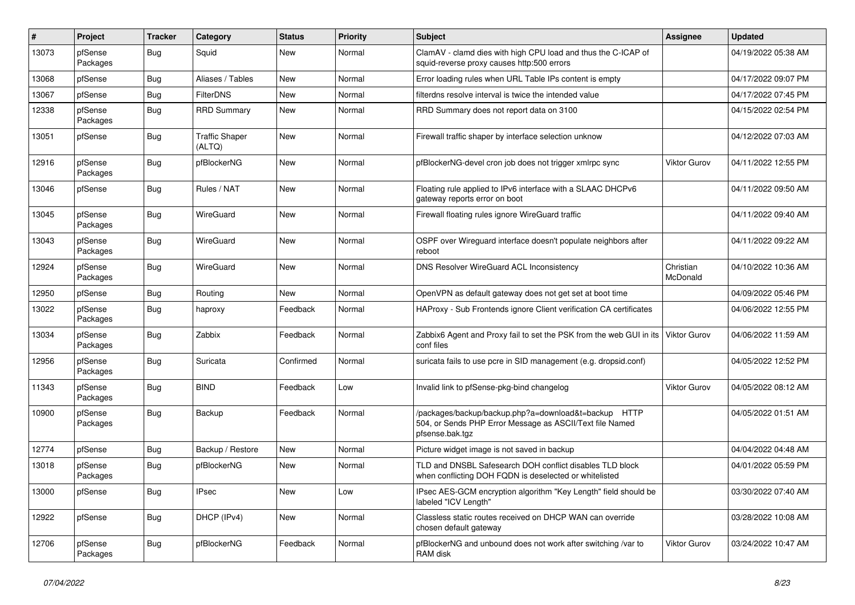| #     | Project             | <b>Tracker</b> | Category                        | <b>Status</b> | <b>Priority</b> | Subject                                                                                                                             | Assignee              | <b>Updated</b>      |
|-------|---------------------|----------------|---------------------------------|---------------|-----------------|-------------------------------------------------------------------------------------------------------------------------------------|-----------------------|---------------------|
| 13073 | pfSense<br>Packages | <b>Bug</b>     | Squid                           | New           | Normal          | ClamAV - clamd dies with high CPU load and thus the C-ICAP of<br>squid-reverse proxy causes http:500 errors                         |                       | 04/19/2022 05:38 AM |
| 13068 | pfSense             | Bug            | Aliases / Tables                | New           | Normal          | Error loading rules when URL Table IPs content is empty                                                                             |                       | 04/17/2022 09:07 PM |
| 13067 | pfSense             | <b>Bug</b>     | <b>FilterDNS</b>                | New           | Normal          | filterdns resolve interval is twice the intended value                                                                              |                       | 04/17/2022 07:45 PM |
| 12338 | pfSense<br>Packages | <b>Bug</b>     | <b>RRD Summary</b>              | New           | Normal          | RRD Summary does not report data on 3100                                                                                            |                       | 04/15/2022 02:54 PM |
| 13051 | pfSense             | <b>Bug</b>     | <b>Traffic Shaper</b><br>(ALTQ) | New           | Normal          | Firewall traffic shaper by interface selection unknow                                                                               |                       | 04/12/2022 07:03 AM |
| 12916 | pfSense<br>Packages | <b>Bug</b>     | pfBlockerNG                     | New           | Normal          | pfBlockerNG-devel cron job does not trigger xmlrpc sync                                                                             | <b>Viktor Gurov</b>   | 04/11/2022 12:55 PM |
| 13046 | pfSense             | <b>Bug</b>     | Rules / NAT                     | New           | Normal          | Floating rule applied to IPv6 interface with a SLAAC DHCPv6<br>gateway reports error on boot                                        |                       | 04/11/2022 09:50 AM |
| 13045 | pfSense<br>Packages | <b>Bug</b>     | WireGuard                       | New           | Normal          | Firewall floating rules ignore WireGuard traffic                                                                                    |                       | 04/11/2022 09:40 AM |
| 13043 | pfSense<br>Packages | <b>Bug</b>     | WireGuard                       | New           | Normal          | OSPF over Wireguard interface doesn't populate neighbors after<br>reboot                                                            |                       | 04/11/2022 09:22 AM |
| 12924 | pfSense<br>Packages | Bug            | WireGuard                       | New           | Normal          | <b>DNS Resolver WireGuard ACL Inconsistency</b>                                                                                     | Christian<br>McDonald | 04/10/2022 10:36 AM |
| 12950 | pfSense             | Bug            | Routing                         | New           | Normal          | OpenVPN as default gateway does not get set at boot time                                                                            |                       | 04/09/2022 05:46 PM |
| 13022 | pfSense<br>Packages | <b>Bug</b>     | haproxy                         | Feedback      | Normal          | HAProxy - Sub Frontends ignore Client verification CA certificates                                                                  |                       | 04/06/2022 12:55 PM |
| 13034 | pfSense<br>Packages | <b>Bug</b>     | Zabbix                          | Feedback      | Normal          | Zabbix6 Agent and Proxy fail to set the PSK from the web GUI in its<br>conf files                                                   | Viktor Gurov          | 04/06/2022 11:59 AM |
| 12956 | pfSense<br>Packages | <b>Bug</b>     | Suricata                        | Confirmed     | Normal          | suricata fails to use pcre in SID management (e.g. dropsid.conf)                                                                    |                       | 04/05/2022 12:52 PM |
| 11343 | pfSense<br>Packages | Bug            | <b>BIND</b>                     | Feedback      | Low             | Invalid link to pfSense-pkg-bind changelog                                                                                          | <b>Viktor Gurov</b>   | 04/05/2022 08:12 AM |
| 10900 | pfSense<br>Packages | Bug            | Backup                          | Feedback      | Normal          | /packages/backup/backup.php?a=download&t=backup HTTP<br>504, or Sends PHP Error Message as ASCII/Text file Named<br>pfsense.bak.tqz |                       | 04/05/2022 01:51 AM |
| 12774 | pfSense             | <b>Bug</b>     | Backup / Restore                | New           | Normal          | Picture widget image is not saved in backup                                                                                         |                       | 04/04/2022 04:48 AM |
| 13018 | pfSense<br>Packages | <b>Bug</b>     | pfBlockerNG                     | New           | Normal          | TLD and DNSBL Safesearch DOH conflict disables TLD block<br>when conflicting DOH FQDN is deselected or whitelisted                  |                       | 04/01/2022 05:59 PM |
| 13000 | pfSense             | <b>Bug</b>     | <b>IPsec</b>                    | New           | Low             | IPsec AES-GCM encryption algorithm "Key Length" field should be<br>labeled "ICV Length"                                             |                       | 03/30/2022 07:40 AM |
| 12922 | pfSense             | Bug            | DHCP (IPv4)                     | New           | Normal          | Classless static routes received on DHCP WAN can override<br>chosen default gateway                                                 |                       | 03/28/2022 10:08 AM |
| 12706 | pfSense<br>Packages | Bug            | pfBlockerNG                     | Feedback      | Normal          | pfBlockerNG and unbound does not work after switching /var to<br>RAM disk                                                           | Viktor Gurov          | 03/24/2022 10:47 AM |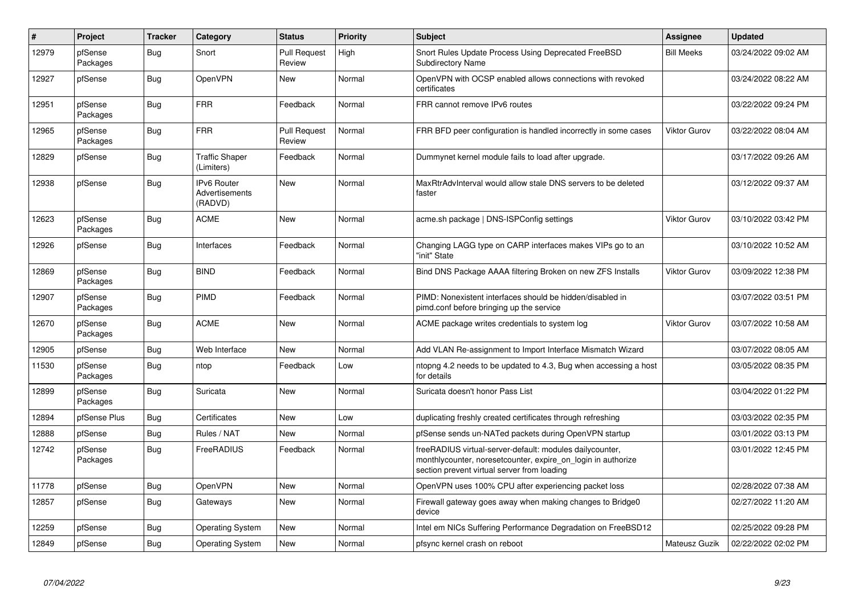| $\vert$ # | Project             | <b>Tracker</b> | Category                                        | <b>Status</b>                 | Priority | <b>Subject</b>                                                                                                                                                          | <b>Assignee</b>     | <b>Updated</b>      |
|-----------|---------------------|----------------|-------------------------------------------------|-------------------------------|----------|-------------------------------------------------------------------------------------------------------------------------------------------------------------------------|---------------------|---------------------|
| 12979     | pfSense<br>Packages | <b>Bug</b>     | Snort                                           | <b>Pull Request</b><br>Review | High     | Snort Rules Update Process Using Deprecated FreeBSD<br>Subdirectory Name                                                                                                | <b>Bill Meeks</b>   | 03/24/2022 09:02 AM |
| 12927     | pfSense             | Bug            | OpenVPN                                         | New                           | Normal   | OpenVPN with OCSP enabled allows connections with revoked<br>certificates                                                                                               |                     | 03/24/2022 08:22 AM |
| 12951     | pfSense<br>Packages | <b>Bug</b>     | <b>FRR</b>                                      | Feedback                      | Normal   | FRR cannot remove IPv6 routes                                                                                                                                           |                     | 03/22/2022 09:24 PM |
| 12965     | pfSense<br>Packages | Bug            | <b>FRR</b>                                      | <b>Pull Request</b><br>Review | Normal   | FRR BFD peer configuration is handled incorrectly in some cases                                                                                                         | <b>Viktor Gurov</b> | 03/22/2022 08:04 AM |
| 12829     | pfSense             | <b>Bug</b>     | <b>Traffic Shaper</b><br>(Limiters)             | Feedback                      | Normal   | Dummynet kernel module fails to load after upgrade.                                                                                                                     |                     | 03/17/2022 09:26 AM |
| 12938     | pfSense             | Bug            | <b>IPv6 Router</b><br>Advertisements<br>(RADVD) | New                           | Normal   | MaxRtrAdvInterval would allow stale DNS servers to be deleted<br>faster                                                                                                 |                     | 03/12/2022 09:37 AM |
| 12623     | pfSense<br>Packages | Bug            | <b>ACME</b>                                     | <b>New</b>                    | Normal   | acme.sh package   DNS-ISPConfig settings                                                                                                                                | <b>Viktor Gurov</b> | 03/10/2022 03:42 PM |
| 12926     | pfSense             | <b>Bug</b>     | Interfaces                                      | Feedback                      | Normal   | Changing LAGG type on CARP interfaces makes VIPs go to an<br>"init" State                                                                                               |                     | 03/10/2022 10:52 AM |
| 12869     | pfSense<br>Packages | Bug            | <b>BIND</b>                                     | Feedback                      | Normal   | Bind DNS Package AAAA filtering Broken on new ZFS Installs                                                                                                              | <b>Viktor Gurov</b> | 03/09/2022 12:38 PM |
| 12907     | pfSense<br>Packages | Bug            | PIMD                                            | Feedback                      | Normal   | PIMD: Nonexistent interfaces should be hidden/disabled in<br>pimd.conf before bringing up the service                                                                   |                     | 03/07/2022 03:51 PM |
| 12670     | pfSense<br>Packages | Bug            | <b>ACME</b>                                     | New                           | Normal   | ACME package writes credentials to system log                                                                                                                           | <b>Viktor Gurov</b> | 03/07/2022 10:58 AM |
| 12905     | pfSense             | Bug            | Web Interface                                   | New                           | Normal   | Add VLAN Re-assignment to Import Interface Mismatch Wizard                                                                                                              |                     | 03/07/2022 08:05 AM |
| 11530     | pfSense<br>Packages | Bug            | ntop                                            | Feedback                      | Low      | ntopng 4.2 needs to be updated to 4.3, Bug when accessing a host<br>for details                                                                                         |                     | 03/05/2022 08:35 PM |
| 12899     | pfSense<br>Packages | <b>Bug</b>     | Suricata                                        | New                           | Normal   | Suricata doesn't honor Pass List                                                                                                                                        |                     | 03/04/2022 01:22 PM |
| 12894     | pfSense Plus        | Bug            | Certificates                                    | New                           | Low      | duplicating freshly created certificates through refreshing                                                                                                             |                     | 03/03/2022 02:35 PM |
| 12888     | pfSense             | Bug            | Rules / NAT                                     | New                           | Normal   | pfSense sends un-NATed packets during OpenVPN startup                                                                                                                   |                     | 03/01/2022 03:13 PM |
| 12742     | pfSense<br>Packages | Bug            | FreeRADIUS                                      | Feedback                      | Normal   | freeRADIUS virtual-server-default: modules dailycounter,<br>monthlycounter, noresetcounter, expire on login in authorize<br>section prevent virtual server from loading |                     | 03/01/2022 12:45 PM |
| 11778     | pfSense             | Bug            | OpenVPN                                         | <b>New</b>                    | Normal   | OpenVPN uses 100% CPU after experiencing packet loss                                                                                                                    |                     | 02/28/2022 07:38 AM |
| 12857     | pfSense             | <b>Bug</b>     | Gateways                                        | <b>New</b>                    | Normal   | Firewall gateway goes away when making changes to Bridge0<br>device                                                                                                     |                     | 02/27/2022 11:20 AM |
| 12259     | pfSense             | <b>Bug</b>     | <b>Operating System</b>                         | <b>New</b>                    | Normal   | Intel em NICs Suffering Performance Degradation on FreeBSD12                                                                                                            |                     | 02/25/2022 09:28 PM |
| 12849     | pfSense             | Bug            | <b>Operating System</b>                         | New                           | Normal   | pfsync kernel crash on reboot                                                                                                                                           | Mateusz Guzik       | 02/22/2022 02:02 PM |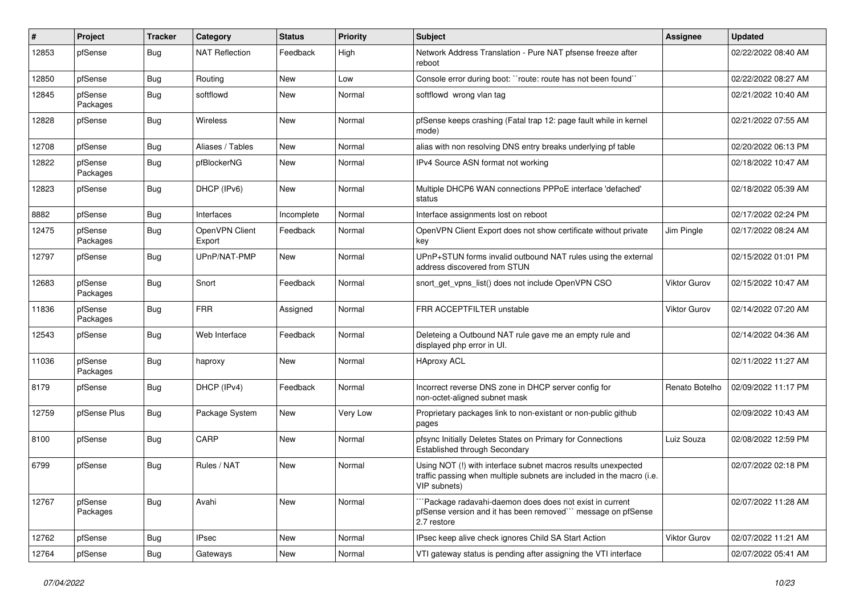| ∦     | Project             | <b>Tracker</b> | Category                 | <b>Status</b> | <b>Priority</b> | <b>Subject</b>                                                                                                                                         | <b>Assignee</b> | <b>Updated</b>      |
|-------|---------------------|----------------|--------------------------|---------------|-----------------|--------------------------------------------------------------------------------------------------------------------------------------------------------|-----------------|---------------------|
| 12853 | pfSense             | Bug            | NAT Reflection           | Feedback      | High            | Network Address Translation - Pure NAT pfsense freeze after<br>reboot                                                                                  |                 | 02/22/2022 08:40 AM |
| 12850 | pfSense             | Bug            | Routing                  | New           | Low             | Console error during boot: "route: route has not been found"                                                                                           |                 | 02/22/2022 08:27 AM |
| 12845 | pfSense<br>Packages | Bug            | softflowd                | New           | Normal          | softflowd wrong vlan tag                                                                                                                               |                 | 02/21/2022 10:40 AM |
| 12828 | pfSense             | Bug            | Wireless                 | New           | Normal          | pfSense keeps crashing (Fatal trap 12: page fault while in kernel<br>mode)                                                                             |                 | 02/21/2022 07:55 AM |
| 12708 | pfSense             | <b>Bug</b>     | Aliases / Tables         | New           | Normal          | alias with non resolving DNS entry breaks underlying pf table                                                                                          |                 | 02/20/2022 06:13 PM |
| 12822 | pfSense<br>Packages | Bug            | pfBlockerNG              | New           | Normal          | IPv4 Source ASN format not working                                                                                                                     |                 | 02/18/2022 10:47 AM |
| 12823 | pfSense             | Bug            | DHCP (IPv6)              | New           | Normal          | Multiple DHCP6 WAN connections PPPoE interface 'defached'<br>status                                                                                    |                 | 02/18/2022 05:39 AM |
| 8882  | pfSense             | <b>Bug</b>     | Interfaces               | Incomplete    | Normal          | Interface assignments lost on reboot                                                                                                                   |                 | 02/17/2022 02:24 PM |
| 12475 | pfSense<br>Packages | Bug            | OpenVPN Client<br>Export | Feedback      | Normal          | OpenVPN Client Export does not show certificate without private<br>key                                                                                 | Jim Pingle      | 02/17/2022 08:24 AM |
| 12797 | pfSense             | Bug            | UPnP/NAT-PMP             | New           | Normal          | UPnP+STUN forms invalid outbound NAT rules using the external<br>address discovered from STUN                                                          |                 | 02/15/2022 01:01 PM |
| 12683 | pfSense<br>Packages | Bug            | Snort                    | Feedback      | Normal          | snort_get_vpns_list() does not include OpenVPN CSO                                                                                                     | Viktor Gurov    | 02/15/2022 10:47 AM |
| 11836 | pfSense<br>Packages | Bug            | <b>FRR</b>               | Assigned      | Normal          | FRR ACCEPTFILTER unstable                                                                                                                              | Viktor Gurov    | 02/14/2022 07:20 AM |
| 12543 | pfSense             | Bug            | Web Interface            | Feedback      | Normal          | Deleteing a Outbound NAT rule gave me an empty rule and<br>displayed php error in UI.                                                                  |                 | 02/14/2022 04:36 AM |
| 11036 | pfSense<br>Packages | Bug            | haproxy                  | New           | Normal          | <b>HAproxy ACL</b>                                                                                                                                     |                 | 02/11/2022 11:27 AM |
| 8179  | pfSense             | Bug            | DHCP (IPv4)              | Feedback      | Normal          | Incorrect reverse DNS zone in DHCP server config for<br>non-octet-aligned subnet mask                                                                  | Renato Botelho  | 02/09/2022 11:17 PM |
| 12759 | pfSense Plus        | Bug            | Package System           | New           | Very Low        | Proprietary packages link to non-existant or non-public github<br>pages                                                                                |                 | 02/09/2022 10:43 AM |
| 8100  | pfSense             | Bug            | CARP                     | New           | Normal          | pfsync Initially Deletes States on Primary for Connections<br><b>Established through Secondary</b>                                                     | Luiz Souza      | 02/08/2022 12:59 PM |
| 6799  | pfSense             | Bug            | Rules / NAT              | New           | Normal          | Using NOT (!) with interface subnet macros results unexpected<br>traffic passing when multiple subnets are included in the macro (i.e.<br>VIP subnets) |                 | 02/07/2022 02:18 PM |
| 12767 | pfSense<br>Packages | <b>Bug</b>     | Avahi                    | New           | Normal          | `Package radavahi-daemon does does not exist in current<br>pfSense version and it has been removed" message on pfSense<br>2.7 restore                  |                 | 02/07/2022 11:28 AM |
| 12762 | pfSense             | <b>Bug</b>     | <b>IPsec</b>             | New           | Normal          | IPsec keep alive check ignores Child SA Start Action                                                                                                   | Viktor Gurov    | 02/07/2022 11:21 AM |
| 12764 | pfSense             | <b>Bug</b>     | Gateways                 | New           | Normal          | VTI gateway status is pending after assigning the VTI interface                                                                                        |                 | 02/07/2022 05:41 AM |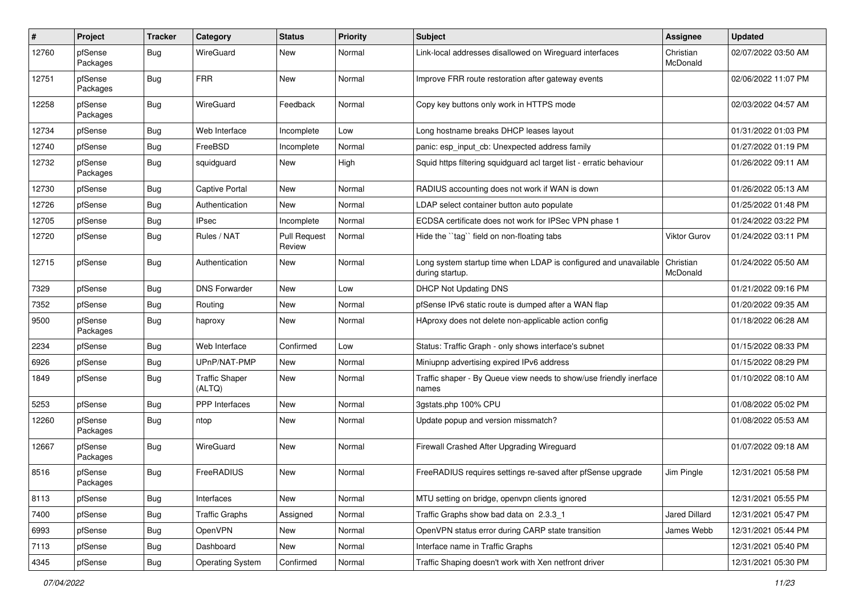| #     | Project             | <b>Tracker</b> | Category                        | <b>Status</b>                 | <b>Priority</b> | <b>Subject</b>                                                                      | <b>Assignee</b>       | <b>Updated</b>      |
|-------|---------------------|----------------|---------------------------------|-------------------------------|-----------------|-------------------------------------------------------------------------------------|-----------------------|---------------------|
| 12760 | pfSense<br>Packages | <b>Bug</b>     | WireGuard                       | New                           | Normal          | Link-local addresses disallowed on Wireguard interfaces                             | Christian<br>McDonald | 02/07/2022 03:50 AM |
| 12751 | pfSense<br>Packages | <b>Bug</b>     | <b>FRR</b>                      | New                           | Normal          | Improve FRR route restoration after gateway events                                  |                       | 02/06/2022 11:07 PM |
| 12258 | pfSense<br>Packages | <b>Bug</b>     | WireGuard                       | Feedback                      | Normal          | Copy key buttons only work in HTTPS mode                                            |                       | 02/03/2022 04:57 AM |
| 12734 | pfSense             | <b>Bug</b>     | Web Interface                   | Incomplete                    | Low             | Long hostname breaks DHCP leases layout                                             |                       | 01/31/2022 01:03 PM |
| 12740 | pfSense             | <b>Bug</b>     | FreeBSD                         | Incomplete                    | Normal          | panic: esp_input_cb: Unexpected address family                                      |                       | 01/27/2022 01:19 PM |
| 12732 | pfSense<br>Packages | <b>Bug</b>     | squidguard                      | New                           | High            | Squid https filtering squidguard acl target list - erratic behaviour                |                       | 01/26/2022 09:11 AM |
| 12730 | pfSense             | <b>Bug</b>     | <b>Captive Portal</b>           | New                           | Normal          | RADIUS accounting does not work if WAN is down                                      |                       | 01/26/2022 05:13 AM |
| 12726 | pfSense             | <b>Bug</b>     | Authentication                  | New                           | Normal          | LDAP select container button auto populate                                          |                       | 01/25/2022 01:48 PM |
| 12705 | pfSense             | <b>Bug</b>     | <b>IPsec</b>                    | Incomplete                    | Normal          | ECDSA certificate does not work for IPSec VPN phase 1                               |                       | 01/24/2022 03:22 PM |
| 12720 | pfSense             | <b>Bug</b>     | Rules / NAT                     | <b>Pull Request</b><br>Review | Normal          | Hide the "tag" field on non-floating tabs                                           | <b>Viktor Gurov</b>   | 01/24/2022 03:11 PM |
| 12715 | pfSense             | Bug            | Authentication                  | New                           | Normal          | Long system startup time when LDAP is configured and unavailable<br>during startup. | Christian<br>McDonald | 01/24/2022 05:50 AM |
| 7329  | pfSense             | <b>Bug</b>     | <b>DNS Forwarder</b>            | <b>New</b>                    | Low             | <b>DHCP Not Updating DNS</b>                                                        |                       | 01/21/2022 09:16 PM |
| 7352  | pfSense             | <b>Bug</b>     | Routing                         | New                           | Normal          | pfSense IPv6 static route is dumped after a WAN flap                                |                       | 01/20/2022 09:35 AM |
| 9500  | pfSense<br>Packages | <b>Bug</b>     | haproxy                         | New                           | Normal          | HAproxy does not delete non-applicable action config                                |                       | 01/18/2022 06:28 AM |
| 2234  | pfSense             | Bug            | Web Interface                   | Confirmed                     | Low             | Status: Traffic Graph - only shows interface's subnet                               |                       | 01/15/2022 08:33 PM |
| 6926  | pfSense             | <b>Bug</b>     | UPnP/NAT-PMP                    | New                           | Normal          | Miniupnp advertising expired IPv6 address                                           |                       | 01/15/2022 08:29 PM |
| 1849  | pfSense             | <b>Bug</b>     | <b>Traffic Shaper</b><br>(ALTQ) | New                           | Normal          | Traffic shaper - By Queue view needs to show/use friendly inerface<br>names         |                       | 01/10/2022 08:10 AM |
| 5253  | pfSense             | <b>Bug</b>     | <b>PPP</b> Interfaces           | <b>New</b>                    | Normal          | 3gstats.php 100% CPU                                                                |                       | 01/08/2022 05:02 PM |
| 12260 | pfSense<br>Packages | <b>Bug</b>     | ntop                            | New                           | Normal          | Update popup and version missmatch?                                                 |                       | 01/08/2022 05:53 AM |
| 12667 | pfSense<br>Packages | <b>Bug</b>     | WireGuard                       | <b>New</b>                    | Normal          | Firewall Crashed After Upgrading Wireguard                                          |                       | 01/07/2022 09:18 AM |
| 8516  | pfSense<br>Packages | <b>Bug</b>     | FreeRADIUS                      | New                           | Normal          | FreeRADIUS requires settings re-saved after pfSense upgrade                         | Jim Pingle            | 12/31/2021 05:58 PM |
| 8113  | pfSense             | Bug            | Interfaces                      | New                           | Normal          | MTU setting on bridge, openvpn clients ignored                                      |                       | 12/31/2021 05:55 PM |
| 7400  | pfSense             | <b>Bug</b>     | <b>Traffic Graphs</b>           | Assigned                      | Normal          | Traffic Graphs show bad data on 2.3.3_1                                             | Jared Dillard         | 12/31/2021 05:47 PM |
| 6993  | pfSense             | <b>Bug</b>     | OpenVPN                         | New                           | Normal          | OpenVPN status error during CARP state transition                                   | James Webb            | 12/31/2021 05:44 PM |
| 7113  | pfSense             | <b>Bug</b>     | Dashboard                       | New                           | Normal          | Interface name in Traffic Graphs                                                    |                       | 12/31/2021 05:40 PM |
| 4345  | pfSense             | Bug            | <b>Operating System</b>         | Confirmed                     | Normal          | Traffic Shaping doesn't work with Xen netfront driver                               |                       | 12/31/2021 05:30 PM |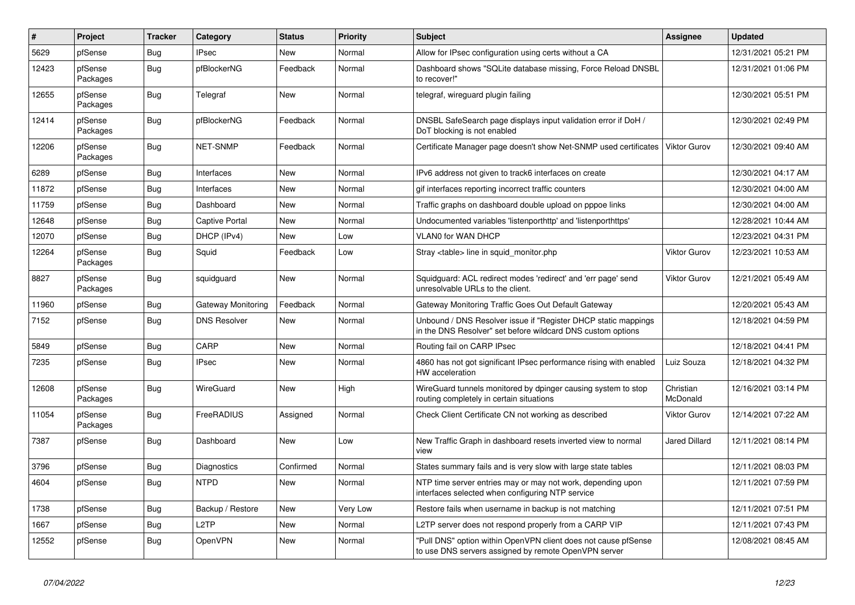| $\sharp$ | Project             | <b>Tracker</b> | Category              | <b>Status</b> | Priority | <b>Subject</b>                                                                                                                | Assignee              | <b>Updated</b>      |
|----------|---------------------|----------------|-----------------------|---------------|----------|-------------------------------------------------------------------------------------------------------------------------------|-----------------------|---------------------|
| 5629     | pfSense             | Bug            | <b>IPsec</b>          | <b>New</b>    | Normal   | Allow for IPsec configuration using certs without a CA                                                                        |                       | 12/31/2021 05:21 PM |
| 12423    | pfSense<br>Packages | Bug            | pfBlockerNG           | Feedback      | Normal   | Dashboard shows "SQLite database missing, Force Reload DNSBL<br>to recover!"                                                  |                       | 12/31/2021 01:06 PM |
| 12655    | pfSense<br>Packages | <b>Bug</b>     | Telegraf              | New           | Normal   | telegraf, wireguard plugin failing                                                                                            |                       | 12/30/2021 05:51 PM |
| 12414    | pfSense<br>Packages | Bug            | pfBlockerNG           | Feedback      | Normal   | DNSBL SafeSearch page displays input validation error if DoH /<br>DoT blocking is not enabled                                 |                       | 12/30/2021 02:49 PM |
| 12206    | pfSense<br>Packages | <b>Bug</b>     | <b>NET-SNMP</b>       | Feedback      | Normal   | Certificate Manager page doesn't show Net-SNMP used certificates                                                              | <b>Viktor Gurov</b>   | 12/30/2021 09:40 AM |
| 6289     | pfSense             | <b>Bug</b>     | Interfaces            | New           | Normal   | IPv6 address not given to track6 interfaces on create                                                                         |                       | 12/30/2021 04:17 AM |
| 11872    | pfSense             | <b>Bug</b>     | Interfaces            | <b>New</b>    | Normal   | gif interfaces reporting incorrect traffic counters                                                                           |                       | 12/30/2021 04:00 AM |
| 11759    | pfSense             | <b>Bug</b>     | Dashboard             | <b>New</b>    | Normal   | Traffic graphs on dashboard double upload on pppoe links                                                                      |                       | 12/30/2021 04:00 AM |
| 12648    | pfSense             | <b>Bug</b>     | <b>Captive Portal</b> | New           | Normal   | Undocumented variables 'listenporthttp' and 'listenporthttps'                                                                 |                       | 12/28/2021 10:44 AM |
| 12070    | pfSense             | <b>Bug</b>     | DHCP (IPv4)           | <b>New</b>    | Low      | <b>VLAN0 for WAN DHCP</b>                                                                                                     |                       | 12/23/2021 04:31 PM |
| 12264    | pfSense<br>Packages | Bug            | Squid                 | Feedback      | Low      | Stray <table> line in squid monitor.php</table>                                                                               | <b>Viktor Gurov</b>   | 12/23/2021 10:53 AM |
| 8827     | pfSense<br>Packages | <b>Bug</b>     | squidguard            | New           | Normal   | Squidguard: ACL redirect modes 'redirect' and 'err page' send<br>unresolvable URLs to the client.                             | <b>Viktor Gurov</b>   | 12/21/2021 05:49 AM |
| 11960    | pfSense             | <b>Bug</b>     | Gateway Monitoring    | Feedback      | Normal   | Gateway Monitoring Traffic Goes Out Default Gateway                                                                           |                       | 12/20/2021 05:43 AM |
| 7152     | pfSense             | Bug            | <b>DNS Resolver</b>   | <b>New</b>    | Normal   | Unbound / DNS Resolver issue if "Register DHCP static mappings<br>in the DNS Resolver" set before wildcard DNS custom options |                       | 12/18/2021 04:59 PM |
| 5849     | pfSense             | <b>Bug</b>     | CARP                  | <b>New</b>    | Normal   | Routing fail on CARP IPsec                                                                                                    |                       | 12/18/2021 04:41 PM |
| 7235     | pfSense             | Bug            | <b>IPsec</b>          | <b>New</b>    | Normal   | 4860 has not got significant IPsec performance rising with enabled<br>HW acceleration                                         | Luiz Souza            | 12/18/2021 04:32 PM |
| 12608    | pfSense<br>Packages | Bug            | WireGuard             | New           | High     | WireGuard tunnels monitored by dpinger causing system to stop<br>routing completely in certain situations                     | Christian<br>McDonald | 12/16/2021 03:14 PM |
| 11054    | pfSense<br>Packages | <b>Bug</b>     | FreeRADIUS            | Assigned      | Normal   | Check Client Certificate CN not working as described                                                                          | Viktor Gurov          | 12/14/2021 07:22 AM |
| 7387     | pfSense             | <b>Bug</b>     | Dashboard             | <b>New</b>    | Low      | New Traffic Graph in dashboard resets inverted view to normal<br>view                                                         | <b>Jared Dillard</b>  | 12/11/2021 08:14 PM |
| 3796     | pfSense             | <b>Bug</b>     | Diagnostics           | Confirmed     | Normal   | States summary fails and is very slow with large state tables                                                                 |                       | 12/11/2021 08:03 PM |
| 4604     | pfSense             | Bug            | <b>NTPD</b>           | New           | Normal   | NTP time server entries may or may not work, depending upon<br>interfaces selected when configuring NTP service               |                       | 12/11/2021 07:59 PM |
| 1738     | pfSense             | <b>Bug</b>     | Backup / Restore      | <b>New</b>    | Very Low | Restore fails when username in backup is not matching                                                                         |                       | 12/11/2021 07:51 PM |
| 1667     | pfSense             | <b>Bug</b>     | L <sub>2</sub> TP     | <b>New</b>    | Normal   | L2TP server does not respond properly from a CARP VIP                                                                         |                       | 12/11/2021 07:43 PM |
| 12552    | pfSense             | <b>Bug</b>     | <b>OpenVPN</b>        | <b>New</b>    | Normal   | "Pull DNS" option within OpenVPN client does not cause pfSense<br>to use DNS servers assigned by remote OpenVPN server        |                       | 12/08/2021 08:45 AM |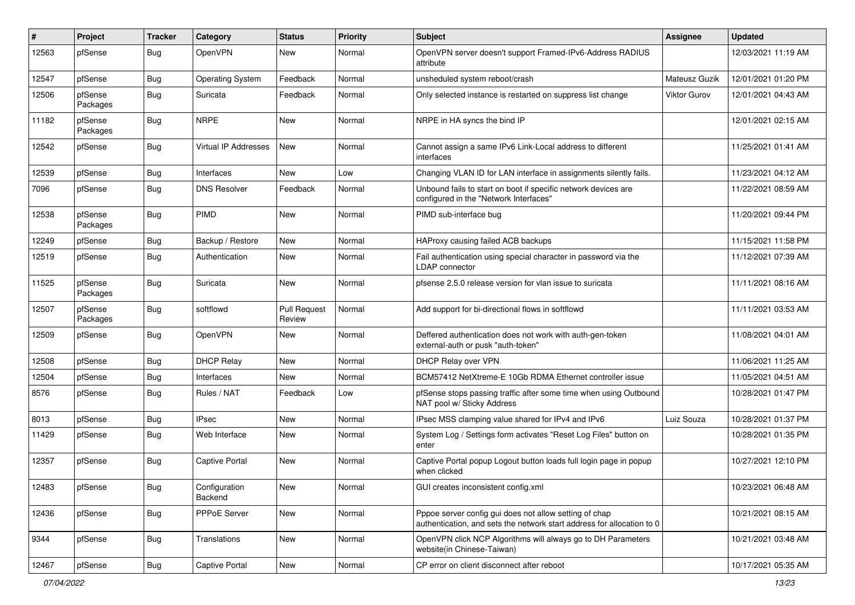| #     | Project             | <b>Tracker</b> | Category                 | <b>Status</b>                 | <b>Priority</b> | <b>Subject</b>                                                                                                                   | Assignee            | <b>Updated</b>      |
|-------|---------------------|----------------|--------------------------|-------------------------------|-----------------|----------------------------------------------------------------------------------------------------------------------------------|---------------------|---------------------|
| 12563 | pfSense             | <b>Bug</b>     | OpenVPN                  | New                           | Normal          | OpenVPN server doesn't support Framed-IPv6-Address RADIUS<br>attribute                                                           |                     | 12/03/2021 11:19 AM |
| 12547 | pfSense             | <b>Bug</b>     | <b>Operating System</b>  | Feedback                      | Normal          | unsheduled system reboot/crash                                                                                                   | Mateusz Guzik       | 12/01/2021 01:20 PM |
| 12506 | pfSense<br>Packages | <b>Bug</b>     | Suricata                 | Feedback                      | Normal          | Only selected instance is restarted on suppress list change                                                                      | <b>Viktor Gurov</b> | 12/01/2021 04:43 AM |
| 11182 | pfSense<br>Packages | Bug            | <b>NRPE</b>              | New                           | Normal          | NRPE in HA syncs the bind IP                                                                                                     |                     | 12/01/2021 02:15 AM |
| 12542 | pfSense             | Bug            | Virtual IP Addresses     | New                           | Normal          | Cannot assign a same IPv6 Link-Local address to different<br>interfaces                                                          |                     | 11/25/2021 01:41 AM |
| 12539 | pfSense             | <b>Bug</b>     | Interfaces               | <b>New</b>                    | Low             | Changing VLAN ID for LAN interface in assignments silently fails.                                                                |                     | 11/23/2021 04:12 AM |
| 7096  | pfSense             | <b>Bug</b>     | <b>DNS Resolver</b>      | Feedback                      | Normal          | Unbound fails to start on boot if specific network devices are<br>configured in the "Network Interfaces"                         |                     | 11/22/2021 08:59 AM |
| 12538 | pfSense<br>Packages | <b>Bug</b>     | <b>PIMD</b>              | New                           | Normal          | PIMD sub-interface bug                                                                                                           |                     | 11/20/2021 09:44 PM |
| 12249 | pfSense             | <b>Bug</b>     | Backup / Restore         | <b>New</b>                    | Normal          | HAProxy causing failed ACB backups                                                                                               |                     | 11/15/2021 11:58 PM |
| 12519 | pfSense             | <b>Bug</b>     | Authentication           | New                           | Normal          | Fail authentication using special character in password via the<br>LDAP connector                                                |                     | 11/12/2021 07:39 AM |
| 11525 | pfSense<br>Packages | <b>Bug</b>     | Suricata                 | New                           | Normal          | pfsense 2.5.0 release version for vlan issue to suricata                                                                         |                     | 11/11/2021 08:16 AM |
| 12507 | pfSense<br>Packages | <b>Bug</b>     | softflowd                | <b>Pull Request</b><br>Review | Normal          | Add support for bi-directional flows in softflowd                                                                                |                     | 11/11/2021 03:53 AM |
| 12509 | pfSense             | <b>Bug</b>     | OpenVPN                  | New                           | Normal          | Deffered authentication does not work with auth-gen-token<br>external-auth or pusk "auth-token"                                  |                     | 11/08/2021 04:01 AM |
| 12508 | pfSense             | <b>Bug</b>     | <b>DHCP Relay</b>        | <b>New</b>                    | Normal          | <b>DHCP Relay over VPN</b>                                                                                                       |                     | 11/06/2021 11:25 AM |
| 12504 | pfSense             | Bug            | Interfaces               | New                           | Normal          | BCM57412 NetXtreme-E 10Gb RDMA Ethernet controller issue                                                                         |                     | 11/05/2021 04:51 AM |
| 8576  | pfSense             | <b>Bug</b>     | Rules / NAT              | Feedback                      | Low             | pfSense stops passing traffic after some time when using Outbound<br>NAT pool w/ Sticky Address                                  |                     | 10/28/2021 01:47 PM |
| 8013  | pfSense             | <b>Bug</b>     | <b>IPsec</b>             | New                           | Normal          | IPsec MSS clamping value shared for IPv4 and IPv6                                                                                | Luiz Souza          | 10/28/2021 01:37 PM |
| 11429 | pfSense             | <b>Bug</b>     | Web Interface            | New                           | Normal          | System Log / Settings form activates "Reset Log Files" button on<br>enter                                                        |                     | 10/28/2021 01:35 PM |
| 12357 | pfSense             | <b>Bug</b>     | <b>Captive Portal</b>    | New                           | Normal          | Captive Portal popup Logout button loads full login page in popup<br>when clicked                                                |                     | 10/27/2021 12:10 PM |
| 12483 | pfSense             | Bug            | Configuration<br>Backend | New                           | Normal          | GUI creates inconsistent config.xml                                                                                              |                     | 10/23/2021 06:48 AM |
| 12436 | pfSense             | Bug            | PPPoE Server             | New                           | Normal          | Pppoe server config gui does not allow setting of chap<br>authentication, and sets the network start address for allocation to 0 |                     | 10/21/2021 08:15 AM |
| 9344  | pfSense             | Bug            | Translations             | New                           | Normal          | OpenVPN click NCP Algorithms will always go to DH Parameters<br>website(in Chinese-Taiwan)                                       |                     | 10/21/2021 03:48 AM |
| 12467 | pfSense             | <b>Bug</b>     | <b>Captive Portal</b>    | New                           | Normal          | CP error on client disconnect after reboot                                                                                       |                     | 10/17/2021 05:35 AM |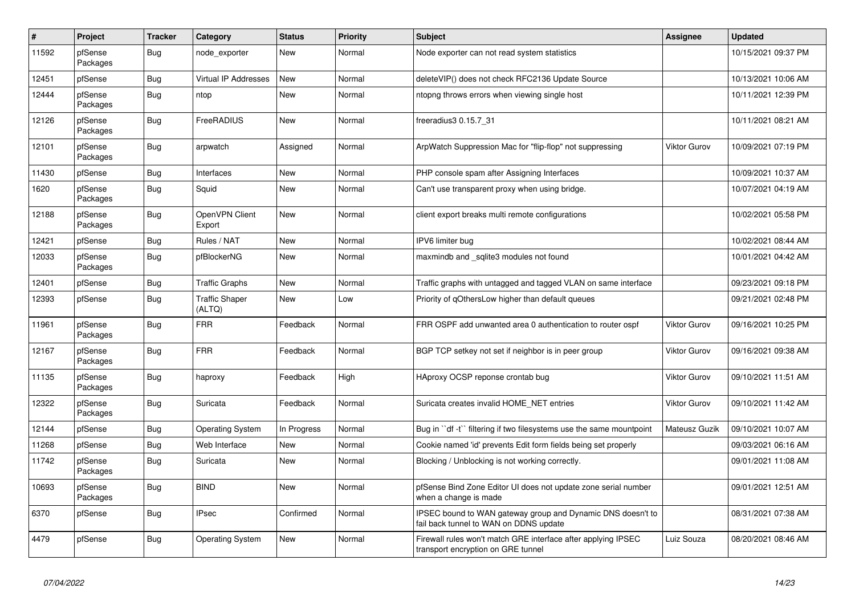| $\vert$ # | Project             | <b>Tracker</b> | Category                        | <b>Status</b> | Priority | <b>Subject</b>                                                                                        | <b>Assignee</b>     | <b>Updated</b>      |
|-----------|---------------------|----------------|---------------------------------|---------------|----------|-------------------------------------------------------------------------------------------------------|---------------------|---------------------|
| 11592     | pfSense<br>Packages | Bug            | node exporter                   | New           | Normal   | Node exporter can not read system statistics                                                          |                     | 10/15/2021 09:37 PM |
| 12451     | pfSense             | <b>Bug</b>     | Virtual IP Addresses            | New           | Normal   | deleteVIP() does not check RFC2136 Update Source                                                      |                     | 10/13/2021 10:06 AM |
| 12444     | pfSense<br>Packages | <b>Bug</b>     | ntop                            | New           | Normal   | ntopng throws errors when viewing single host                                                         |                     | 10/11/2021 12:39 PM |
| 12126     | pfSense<br>Packages | <b>Bug</b>     | FreeRADIUS                      | New           | Normal   | freeradius3 0.15.7 31                                                                                 |                     | 10/11/2021 08:21 AM |
| 12101     | pfSense<br>Packages | <b>Bug</b>     | arpwatch                        | Assigned      | Normal   | ArpWatch Suppression Mac for "flip-flop" not suppressing                                              | <b>Viktor Gurov</b> | 10/09/2021 07:19 PM |
| 11430     | pfSense             | Bug            | Interfaces                      | New           | Normal   | PHP console spam after Assigning Interfaces                                                           |                     | 10/09/2021 10:37 AM |
| 1620      | pfSense<br>Packages | Bug            | Squid                           | New           | Normal   | Can't use transparent proxy when using bridge.                                                        |                     | 10/07/2021 04:19 AM |
| 12188     | pfSense<br>Packages | Bug            | OpenVPN Client<br>Export        | New           | Normal   | client export breaks multi remote configurations                                                      |                     | 10/02/2021 05:58 PM |
| 12421     | pfSense             | Bug            | Rules / NAT                     | New           | Normal   | IPV6 limiter bug                                                                                      |                     | 10/02/2021 08:44 AM |
| 12033     | pfSense<br>Packages | <b>Bug</b>     | pfBlockerNG                     | New           | Normal   | maxmindb and sqlite3 modules not found                                                                |                     | 10/01/2021 04:42 AM |
| 12401     | pfSense             | <b>Bug</b>     | <b>Traffic Graphs</b>           | New           | Normal   | Traffic graphs with untagged and tagged VLAN on same interface                                        |                     | 09/23/2021 09:18 PM |
| 12393     | pfSense             | Bug            | <b>Traffic Shaper</b><br>(ALTQ) | <b>New</b>    | Low      | Priority of gOthersLow higher than default queues                                                     |                     | 09/21/2021 02:48 PM |
| 11961     | pfSense<br>Packages | Bug            | <b>FRR</b>                      | Feedback      | Normal   | FRR OSPF add unwanted area 0 authentication to router ospf                                            | Viktor Gurov        | 09/16/2021 10:25 PM |
| 12167     | pfSense<br>Packages | Bug            | <b>FRR</b>                      | Feedback      | Normal   | BGP TCP setkey not set if neighbor is in peer group                                                   | <b>Viktor Gurov</b> | 09/16/2021 09:38 AM |
| 11135     | pfSense<br>Packages | <b>Bug</b>     | haproxy                         | Feedback      | High     | HAproxy OCSP reponse crontab bug                                                                      | Viktor Gurov        | 09/10/2021 11:51 AM |
| 12322     | pfSense<br>Packages | Bug            | Suricata                        | Feedback      | Normal   | Suricata creates invalid HOME_NET entries                                                             | Viktor Gurov        | 09/10/2021 11:42 AM |
| 12144     | pfSense             | <b>Bug</b>     | <b>Operating System</b>         | In Progress   | Normal   | Bug in "df-t" filtering if two filesystems use the same mountpoint                                    | Mateusz Guzik       | 09/10/2021 10:07 AM |
| 11268     | pfSense             | Bug            | Web Interface                   | New           | Normal   | Cookie named 'id' prevents Edit form fields being set properly                                        |                     | 09/03/2021 06:16 AM |
| 11742     | pfSense<br>Packages | Bug            | Suricata                        | New           | Normal   | Blocking / Unblocking is not working correctly.                                                       |                     | 09/01/2021 11:08 AM |
| 10693     | pfSense<br>Packages | <b>Bug</b>     | <b>BIND</b>                     | <b>New</b>    | Normal   | pfSense Bind Zone Editor UI does not update zone serial number<br>when a change is made               |                     | 09/01/2021 12:51 AM |
| 6370      | pfSense             | <b>Bug</b>     | <b>IPsec</b>                    | Confirmed     | Normal   | IPSEC bound to WAN gateway group and Dynamic DNS doesn't to<br>fail back tunnel to WAN on DDNS update |                     | 08/31/2021 07:38 AM |
| 4479      | pfSense             | <b>Bug</b>     | <b>Operating System</b>         | <b>New</b>    | Normal   | Firewall rules won't match GRE interface after applying IPSEC<br>transport encryption on GRE tunnel   | Luiz Souza          | 08/20/2021 08:46 AM |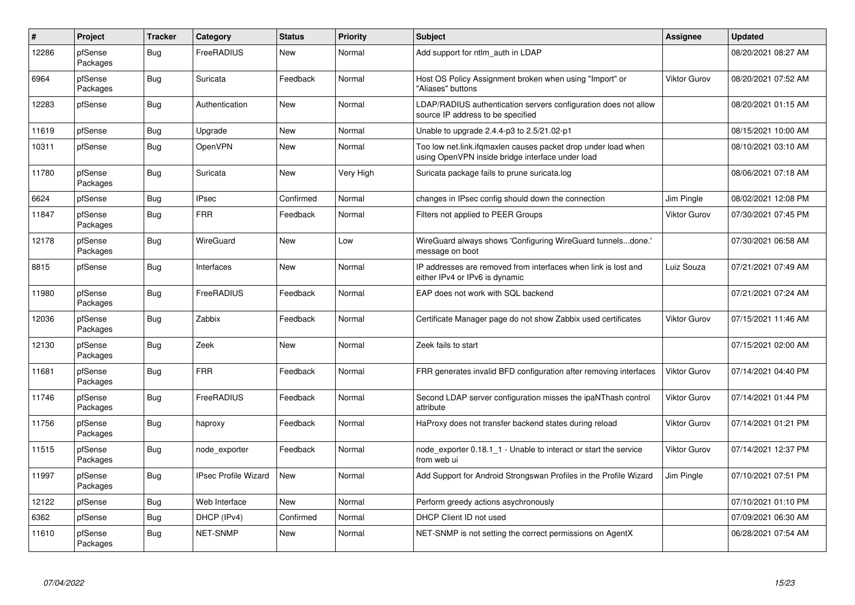| $\sharp$ | Project             | <b>Tracker</b> | Category                    | <b>Status</b> | <b>Priority</b> | <b>Subject</b>                                                                                                    | Assignee     | <b>Updated</b>      |
|----------|---------------------|----------------|-----------------------------|---------------|-----------------|-------------------------------------------------------------------------------------------------------------------|--------------|---------------------|
| 12286    | pfSense<br>Packages | <b>Bug</b>     | FreeRADIUS                  | <b>New</b>    | Normal          | Add support for ntlm auth in LDAP                                                                                 |              | 08/20/2021 08:27 AM |
| 6964     | pfSense<br>Packages | Bug            | Suricata                    | Feedback      | Normal          | Host OS Policy Assignment broken when using "Import" or<br>'Aliases" buttons                                      | Viktor Gurov | 08/20/2021 07:52 AM |
| 12283    | pfSense             | Bug            | Authentication              | New           | Normal          | LDAP/RADIUS authentication servers configuration does not allow<br>source IP address to be specified              |              | 08/20/2021 01:15 AM |
| 11619    | pfSense             | <b>Bug</b>     | Upgrade                     | <b>New</b>    | Normal          | Unable to upgrade 2.4.4-p3 to 2.5/21.02-p1                                                                        |              | 08/15/2021 10:00 AM |
| 10311    | pfSense             | Bug            | OpenVPN                     | New           | Normal          | Too low net.link.ifqmaxlen causes packet drop under load when<br>using OpenVPN inside bridge interface under load |              | 08/10/2021 03:10 AM |
| 11780    | pfSense<br>Packages | <b>Bug</b>     | Suricata                    | New           | Very High       | Suricata package fails to prune suricata.log                                                                      |              | 08/06/2021 07:18 AM |
| 6624     | pfSense             | Bug            | <b>IPsec</b>                | Confirmed     | Normal          | changes in IPsec config should down the connection                                                                | Jim Pingle   | 08/02/2021 12:08 PM |
| 11847    | pfSense<br>Packages | Bug            | <b>FRR</b>                  | Feedback      | Normal          | Filters not applied to PEER Groups                                                                                | Viktor Gurov | 07/30/2021 07:45 PM |
| 12178    | pfSense<br>Packages | Bug            | WireGuard                   | <b>New</b>    | Low             | WireGuard always shows 'Configuring WireGuard tunnelsdone.'<br>message on boot                                    |              | 07/30/2021 06:58 AM |
| 8815     | pfSense             | Bug            | Interfaces                  | <b>New</b>    | Normal          | IP addresses are removed from interfaces when link is lost and<br>either IPv4 or IPv6 is dynamic                  | Luiz Souza   | 07/21/2021 07:49 AM |
| 11980    | pfSense<br>Packages | Bug            | FreeRADIUS                  | Feedback      | Normal          | EAP does not work with SQL backend                                                                                |              | 07/21/2021 07:24 AM |
| 12036    | pfSense<br>Packages | <b>Bug</b>     | Zabbix                      | Feedback      | Normal          | Certificate Manager page do not show Zabbix used certificates                                                     | Viktor Gurov | 07/15/2021 11:46 AM |
| 12130    | pfSense<br>Packages | <b>Bug</b>     | Zeek                        | <b>New</b>    | Normal          | Zeek fails to start                                                                                               |              | 07/15/2021 02:00 AM |
| 11681    | pfSense<br>Packages | Bug            | <b>FRR</b>                  | Feedback      | Normal          | FRR generates invalid BFD configuration after removing interfaces                                                 | Viktor Gurov | 07/14/2021 04:40 PM |
| 11746    | pfSense<br>Packages | Bug            | FreeRADIUS                  | Feedback      | Normal          | Second LDAP server configuration misses the ipaNThash control<br>attribute                                        | Viktor Gurov | 07/14/2021 01:44 PM |
| 11756    | pfSense<br>Packages | Bug            | haproxy                     | Feedback      | Normal          | HaProxy does not transfer backend states during reload                                                            | Viktor Gurov | 07/14/2021 01:21 PM |
| 11515    | pfSense<br>Packages | Bug            | node_exporter               | Feedback      | Normal          | node exporter 0.18.1 1 - Unable to interact or start the service<br>from web ui                                   | Viktor Gurov | 07/14/2021 12:37 PM |
| 11997    | pfSense<br>Packages | Bug            | <b>IPsec Profile Wizard</b> | New           | Normal          | Add Support for Android Strongswan Profiles in the Profile Wizard                                                 | Jim Pingle   | 07/10/2021 07:51 PM |
| 12122    | pfSense             | Bug            | Web Interface               | <b>New</b>    | Normal          | Perform greedy actions asychronously                                                                              |              | 07/10/2021 01:10 PM |
| 6362     | pfSense             | <b>Bug</b>     | DHCP (IPv4)                 | Confirmed     | Normal          | DHCP Client ID not used                                                                                           |              | 07/09/2021 06:30 AM |
| 11610    | pfSense<br>Packages | Bug            | <b>NET-SNMP</b>             | New           | Normal          | NET-SNMP is not setting the correct permissions on AgentX                                                         |              | 06/28/2021 07:54 AM |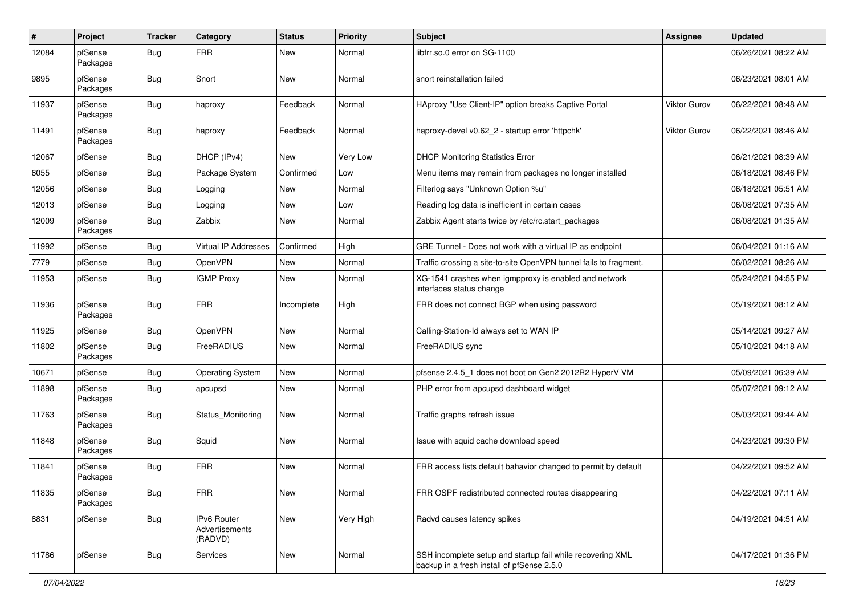| $\pmb{\#}$ | Project             | <b>Tracker</b> | Category                                 | <b>Status</b> | <b>Priority</b> | Subject                                                                                                  | <b>Assignee</b>     | <b>Updated</b>      |
|------------|---------------------|----------------|------------------------------------------|---------------|-----------------|----------------------------------------------------------------------------------------------------------|---------------------|---------------------|
| 12084      | pfSense<br>Packages | Bug            | <b>FRR</b>                               | New           | Normal          | libfrr.so.0 error on SG-1100                                                                             |                     | 06/26/2021 08:22 AM |
| 9895       | pfSense<br>Packages | Bug            | Snort                                    | New           | Normal          | snort reinstallation failed                                                                              |                     | 06/23/2021 08:01 AM |
| 11937      | pfSense<br>Packages | <b>Bug</b>     | haproxy                                  | Feedback      | Normal          | HAproxy "Use Client-IP" option breaks Captive Portal                                                     | <b>Viktor Gurov</b> | 06/22/2021 08:48 AM |
| 11491      | pfSense<br>Packages | Bug            | haproxy                                  | Feedback      | Normal          | haproxy-devel v0.62_2 - startup error 'httpchk'                                                          | <b>Viktor Gurov</b> | 06/22/2021 08:46 AM |
| 12067      | pfSense             | Bug            | DHCP (IPv4)                              | New           | Very Low        | <b>DHCP Monitoring Statistics Error</b>                                                                  |                     | 06/21/2021 08:39 AM |
| 6055       | pfSense             | <b>Bug</b>     | Package System                           | Confirmed     | Low             | Menu items may remain from packages no longer installed                                                  |                     | 06/18/2021 08:46 PM |
| 12056      | pfSense             | Bug            | Logging                                  | New           | Normal          | Filterlog says "Unknown Option %u"                                                                       |                     | 06/18/2021 05:51 AM |
| 12013      | pfSense             | Bug            | Logging                                  | New           | Low             | Reading log data is inefficient in certain cases                                                         |                     | 06/08/2021 07:35 AM |
| 12009      | pfSense<br>Packages | <b>Bug</b>     | Zabbix                                   | New           | Normal          | Zabbix Agent starts twice by /etc/rc.start_packages                                                      |                     | 06/08/2021 01:35 AM |
| 11992      | pfSense             | Bug            | Virtual IP Addresses                     | Confirmed     | High            | GRE Tunnel - Does not work with a virtual IP as endpoint                                                 |                     | 06/04/2021 01:16 AM |
| 7779       | pfSense             | <b>Bug</b>     | OpenVPN                                  | New           | Normal          | Traffic crossing a site-to-site OpenVPN tunnel fails to fragment.                                        |                     | 06/02/2021 08:26 AM |
| 11953      | pfSense             | Bug            | <b>IGMP Proxy</b>                        | New           | Normal          | XG-1541 crashes when igmpproxy is enabled and network<br>interfaces status change                        |                     | 05/24/2021 04:55 PM |
| 11936      | pfSense<br>Packages | Bug            | <b>FRR</b>                               | Incomplete    | High            | FRR does not connect BGP when using password                                                             |                     | 05/19/2021 08:12 AM |
| 11925      | pfSense             | <b>Bug</b>     | OpenVPN                                  | <b>New</b>    | Normal          | Calling-Station-Id always set to WAN IP                                                                  |                     | 05/14/2021 09:27 AM |
| 11802      | pfSense<br>Packages | Bug            | FreeRADIUS                               | New           | Normal          | FreeRADIUS sync                                                                                          |                     | 05/10/2021 04:18 AM |
| 10671      | pfSense             | Bug            | <b>Operating System</b>                  | <b>New</b>    | Normal          | pfsense 2.4.5_1 does not boot on Gen2 2012R2 HyperV VM                                                   |                     | 05/09/2021 06:39 AM |
| 11898      | pfSense<br>Packages | Bug            | apcupsd                                  | New           | Normal          | PHP error from apcupsd dashboard widget                                                                  |                     | 05/07/2021 09:12 AM |
| 11763      | pfSense<br>Packages | Bug            | <b>Status Monitoring</b>                 | <b>New</b>    | Normal          | Traffic graphs refresh issue                                                                             |                     | 05/03/2021 09:44 AM |
| 11848      | pfSense<br>Packages | Bug            | Squid                                    | New           | Normal          | Issue with squid cache download speed                                                                    |                     | 04/23/2021 09:30 PM |
| 11841      | pfSense<br>Packages | Bug            | <b>FRR</b>                               | <b>New</b>    | Normal          | FRR access lists default bahavior changed to permit by default                                           |                     | 04/22/2021 09:52 AM |
| 11835      | pfSense<br>Packages | Bug            | <b>FRR</b>                               | New           | Normal          | FRR OSPF redistributed connected routes disappearing                                                     |                     | 04/22/2021 07:11 AM |
| 8831       | pfSense             | <b>Bug</b>     | IPv6 Router<br>Advertisements<br>(RADVD) | New           | Very High       | Radvd causes latency spikes                                                                              |                     | 04/19/2021 04:51 AM |
| 11786      | pfSense             | <b>Bug</b>     | Services                                 | New           | Normal          | SSH incomplete setup and startup fail while recovering XML<br>backup in a fresh install of pfSense 2.5.0 |                     | 04/17/2021 01:36 PM |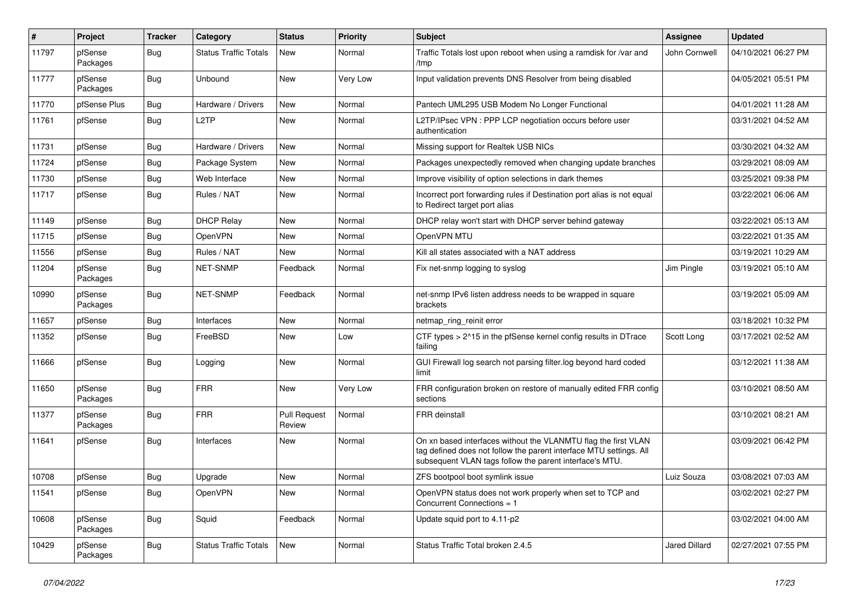| #     | Project             | <b>Tracker</b> | Category                     | <b>Status</b>                 | <b>Priority</b> | <b>Subject</b>                                                                                                                                                                                  | <b>Assignee</b> | <b>Updated</b>      |
|-------|---------------------|----------------|------------------------------|-------------------------------|-----------------|-------------------------------------------------------------------------------------------------------------------------------------------------------------------------------------------------|-----------------|---------------------|
| 11797 | pfSense<br>Packages | <b>Bug</b>     | <b>Status Traffic Totals</b> | New                           | Normal          | Traffic Totals lost upon reboot when using a ramdisk for /var and<br>/tmp                                                                                                                       | John Cornwell   | 04/10/2021 06:27 PM |
| 11777 | pfSense<br>Packages | Bug            | Unbound                      | New                           | Very Low        | Input validation prevents DNS Resolver from being disabled                                                                                                                                      |                 | 04/05/2021 05:51 PM |
| 11770 | pfSense Plus        | <b>Bug</b>     | Hardware / Drivers           | New                           | Normal          | Pantech UML295 USB Modem No Longer Functional                                                                                                                                                   |                 | 04/01/2021 11:28 AM |
| 11761 | pfSense             | Bug            | L <sub>2</sub> TP            | New                           | Normal          | L2TP/IPsec VPN: PPP LCP negotiation occurs before user<br>authentication                                                                                                                        |                 | 03/31/2021 04:52 AM |
| 11731 | pfSense             | Bug            | Hardware / Drivers           | New                           | Normal          | Missing support for Realtek USB NICs                                                                                                                                                            |                 | 03/30/2021 04:32 AM |
| 11724 | pfSense             | <b>Bug</b>     | Package System               | New                           | Normal          | Packages unexpectedly removed when changing update branches                                                                                                                                     |                 | 03/29/2021 08:09 AM |
| 11730 | pfSense             | <b>Bug</b>     | Web Interface                | <b>New</b>                    | Normal          | Improve visibility of option selections in dark themes                                                                                                                                          |                 | 03/25/2021 09:38 PM |
| 11717 | pfSense             | <b>Bug</b>     | Rules / NAT                  | New                           | Normal          | Incorrect port forwarding rules if Destination port alias is not equal<br>to Redirect target port alias                                                                                         |                 | 03/22/2021 06:06 AM |
| 11149 | pfSense             | <b>Bug</b>     | <b>DHCP Relay</b>            | <b>New</b>                    | Normal          | DHCP relay won't start with DHCP server behind gateway                                                                                                                                          |                 | 03/22/2021 05:13 AM |
| 11715 | pfSense             | <b>Bug</b>     | <b>OpenVPN</b>               | New                           | Normal          | OpenVPN MTU                                                                                                                                                                                     |                 | 03/22/2021 01:35 AM |
| 11556 | pfSense             | <b>Bug</b>     | Rules / NAT                  | New                           | Normal          | Kill all states associated with a NAT address                                                                                                                                                   |                 | 03/19/2021 10:29 AM |
| 11204 | pfSense<br>Packages | Bug            | <b>NET-SNMP</b>              | Feedback                      | Normal          | Fix net-snmp logging to syslog                                                                                                                                                                  | Jim Pingle      | 03/19/2021 05:10 AM |
| 10990 | pfSense<br>Packages | <b>Bug</b>     | <b>NET-SNMP</b>              | Feedback                      | Normal          | net-snmp IPv6 listen address needs to be wrapped in square<br>brackets                                                                                                                          |                 | 03/19/2021 05:09 AM |
| 11657 | pfSense             | <b>Bug</b>     | Interfaces                   | New                           | Normal          | netmap_ring_reinit error                                                                                                                                                                        |                 | 03/18/2021 10:32 PM |
| 11352 | pfSense             | <b>Bug</b>     | FreeBSD                      | New                           | Low             | CTF types > 2^15 in the pfSense kernel config results in DTrace<br>failing                                                                                                                      | Scott Long      | 03/17/2021 02:52 AM |
| 11666 | pfSense             | <b>Bug</b>     | Logging                      | New                           | Normal          | GUI Firewall log search not parsing filter.log beyond hard coded<br>limit                                                                                                                       |                 | 03/12/2021 11:38 AM |
| 11650 | pfSense<br>Packages | <b>Bug</b>     | <b>FRR</b>                   | New                           | Very Low        | FRR configuration broken on restore of manually edited FRR config<br>sections                                                                                                                   |                 | 03/10/2021 08:50 AM |
| 11377 | pfSense<br>Packages | <b>Bug</b>     | <b>FRR</b>                   | <b>Pull Request</b><br>Review | Normal          | FRR deinstall                                                                                                                                                                                   |                 | 03/10/2021 08:21 AM |
| 11641 | pfSense             | <b>Bug</b>     | Interfaces                   | New                           | Normal          | On xn based interfaces without the VLANMTU flag the first VLAN<br>tag defined does not follow the parent interface MTU settings. All<br>subsequent VLAN tags follow the parent interface's MTU. |                 | 03/09/2021 06:42 PM |
| 10708 | pfSense             | Bug            | Upgrade                      | New                           | Normal          | ZFS bootpool boot symlink issue                                                                                                                                                                 | Luiz Souza      | 03/08/2021 07:03 AM |
| 11541 | pfSense             | Bug            | OpenVPN                      | New                           | Normal          | OpenVPN status does not work properly when set to TCP and<br>Concurrent Connections = 1                                                                                                         |                 | 03/02/2021 02:27 PM |
| 10608 | pfSense<br>Packages | Bug            | Squid                        | Feedback                      | Normal          | Update squid port to 4.11-p2                                                                                                                                                                    |                 | 03/02/2021 04:00 AM |
| 10429 | pfSense<br>Packages | Bug            | <b>Status Traffic Totals</b> | New                           | Normal          | Status Traffic Total broken 2.4.5                                                                                                                                                               | Jared Dillard   | 02/27/2021 07:55 PM |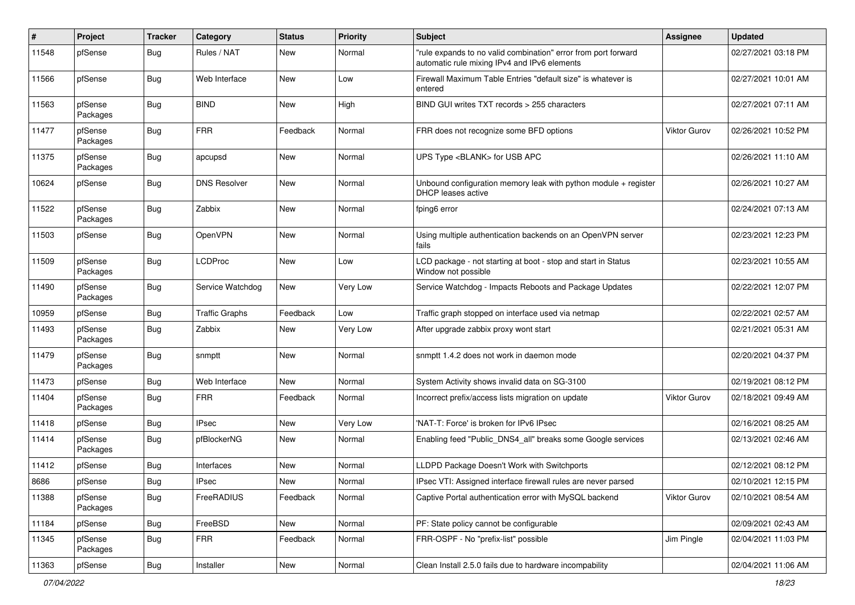| #     | Project             | <b>Tracker</b> | Category              | <b>Status</b> | <b>Priority</b> | <b>Subject</b>                                                                                                 | Assignee            | <b>Updated</b>      |
|-------|---------------------|----------------|-----------------------|---------------|-----------------|----------------------------------------------------------------------------------------------------------------|---------------------|---------------------|
| 11548 | pfSense             | Bug            | Rules / NAT           | New           | Normal          | "rule expands to no valid combination" error from port forward<br>automatic rule mixing IPv4 and IPv6 elements |                     | 02/27/2021 03:18 PM |
| 11566 | pfSense             | Bug            | Web Interface         | New           | Low             | Firewall Maximum Table Entries "default size" is whatever is<br>entered                                        |                     | 02/27/2021 10:01 AM |
| 11563 | pfSense<br>Packages | Bug            | <b>BIND</b>           | <b>New</b>    | High            | BIND GUI writes TXT records > 255 characters                                                                   |                     | 02/27/2021 07:11 AM |
| 11477 | pfSense<br>Packages | Bug            | <b>FRR</b>            | Feedback      | Normal          | FRR does not recognize some BFD options                                                                        | Viktor Gurov        | 02/26/2021 10:52 PM |
| 11375 | pfSense<br>Packages | Bug            | apcupsd               | New           | Normal          | UPS Type <blank> for USB APC</blank>                                                                           |                     | 02/26/2021 11:10 AM |
| 10624 | pfSense             | Bug            | <b>DNS Resolver</b>   | <b>New</b>    | Normal          | Unbound configuration memory leak with python module $+$ register<br><b>DHCP</b> leases active                 |                     | 02/26/2021 10:27 AM |
| 11522 | pfSense<br>Packages | Bug            | Zabbix                | <b>New</b>    | Normal          | fping6 error                                                                                                   |                     | 02/24/2021 07:13 AM |
| 11503 | pfSense             | Bug            | OpenVPN               | New           | Normal          | Using multiple authentication backends on an OpenVPN server<br>fails                                           |                     | 02/23/2021 12:23 PM |
| 11509 | pfSense<br>Packages | Bug            | <b>LCDProc</b>        | <b>New</b>    | Low             | LCD package - not starting at boot - stop and start in Status<br>Window not possible                           |                     | 02/23/2021 10:55 AM |
| 11490 | pfSense<br>Packages | <b>Bug</b>     | Service Watchdog      | <b>New</b>    | Very Low        | Service Watchdog - Impacts Reboots and Package Updates                                                         |                     | 02/22/2021 12:07 PM |
| 10959 | pfSense             | Bug            | <b>Traffic Graphs</b> | Feedback      | Low             | Traffic graph stopped on interface used via netmap                                                             |                     | 02/22/2021 02:57 AM |
| 11493 | pfSense<br>Packages | Bug            | Zabbix                | New           | Very Low        | After upgrade zabbix proxy wont start                                                                          |                     | 02/21/2021 05:31 AM |
| 11479 | pfSense<br>Packages | Bug            | snmptt                | New           | Normal          | snmptt 1.4.2 does not work in daemon mode                                                                      |                     | 02/20/2021 04:37 PM |
| 11473 | pfSense             | <b>Bug</b>     | Web Interface         | <b>New</b>    | Normal          | System Activity shows invalid data on SG-3100                                                                  |                     | 02/19/2021 08:12 PM |
| 11404 | pfSense<br>Packages | <b>Bug</b>     | <b>FRR</b>            | Feedback      | Normal          | Incorrect prefix/access lists migration on update                                                              | Viktor Gurov        | 02/18/2021 09:49 AM |
| 11418 | pfSense             | Bug            | <b>IPsec</b>          | New           | Very Low        | 'NAT-T: Force' is broken for IPv6 IPsec                                                                        |                     | 02/16/2021 08:25 AM |
| 11414 | pfSense<br>Packages | <b>Bug</b>     | pfBlockerNG           | New           | Normal          | Enabling feed "Public_DNS4_all" breaks some Google services                                                    |                     | 02/13/2021 02:46 AM |
| 11412 | pfSense             | Bug            | Interfaces            | New           | Normal          | LLDPD Package Doesn't Work with Switchports                                                                    |                     | 02/12/2021 08:12 PM |
| 8686  | pfSense             | Bug            | <b>IPsec</b>          | New           | Normal          | IPsec VTI: Assigned interface firewall rules are never parsed                                                  |                     | 02/10/2021 12:15 PM |
| 11388 | pfSense<br>Packages | Bug            | FreeRADIUS            | Feedback      | Normal          | Captive Portal authentication error with MySQL backend                                                         | <b>Viktor Gurov</b> | 02/10/2021 08:54 AM |
| 11184 | pfSense             | <b>Bug</b>     | FreeBSD               | New           | Normal          | PF: State policy cannot be configurable                                                                        |                     | 02/09/2021 02:43 AM |
| 11345 | pfSense<br>Packages | Bug            | <b>FRR</b>            | Feedback      | Normal          | FRR-OSPF - No "prefix-list" possible                                                                           | Jim Pingle          | 02/04/2021 11:03 PM |
| 11363 | pfSense             | Bug            | Installer             | New           | Normal          | Clean Install 2.5.0 fails due to hardware incompability                                                        |                     | 02/04/2021 11:06 AM |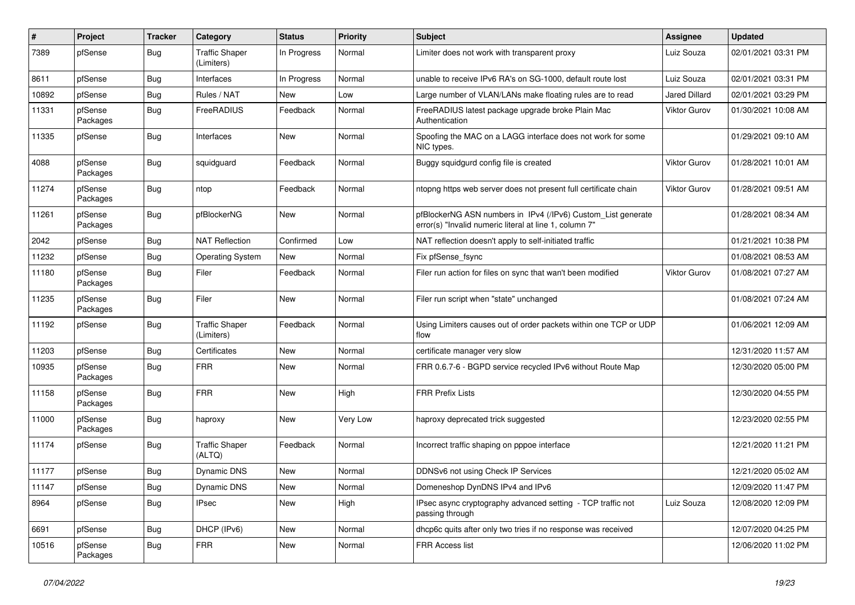| $\pmb{\#}$ | Project             | <b>Tracker</b> | Category                            | <b>Status</b> | <b>Priority</b> | Subject                                                                                                                | <b>Assignee</b> | <b>Updated</b>      |
|------------|---------------------|----------------|-------------------------------------|---------------|-----------------|------------------------------------------------------------------------------------------------------------------------|-----------------|---------------------|
| 7389       | pfSense             | Bug            | <b>Traffic Shaper</b><br>(Limiters) | In Progress   | Normal          | Limiter does not work with transparent proxy                                                                           | Luiz Souza      | 02/01/2021 03:31 PM |
| 8611       | pfSense             | Bug            | Interfaces                          | In Progress   | Normal          | unable to receive IPv6 RA's on SG-1000, default route lost                                                             | Luiz Souza      | 02/01/2021 03:31 PM |
| 10892      | pfSense             | <b>Bug</b>     | Rules / NAT                         | New           | Low             | Large number of VLAN/LANs make floating rules are to read                                                              | Jared Dillard   | 02/01/2021 03:29 PM |
| 11331      | pfSense<br>Packages | <b>Bug</b>     | FreeRADIUS                          | Feedback      | Normal          | FreeRADIUS latest package upgrade broke Plain Mac<br>Authentication                                                    | Viktor Gurov    | 01/30/2021 10:08 AM |
| 11335      | pfSense             | <b>Bug</b>     | Interfaces                          | New           | Normal          | Spoofing the MAC on a LAGG interface does not work for some<br>NIC types.                                              |                 | 01/29/2021 09:10 AM |
| 4088       | pfSense<br>Packages | Bug            | squidguard                          | Feedback      | Normal          | Buggy squidgurd config file is created                                                                                 | Viktor Gurov    | 01/28/2021 10:01 AM |
| 11274      | pfSense<br>Packages | Bug            | ntop                                | Feedback      | Normal          | ntopng https web server does not present full certificate chain                                                        | Viktor Gurov    | 01/28/2021 09:51 AM |
| 11261      | pfSense<br>Packages | Bug            | pfBlockerNG                         | New           | Normal          | pfBlockerNG ASN numbers in IPv4 (/IPv6) Custom_List generate<br>error(s) "Invalid numeric literal at line 1, column 7" |                 | 01/28/2021 08:34 AM |
| 2042       | pfSense             | <b>Bug</b>     | <b>NAT Reflection</b>               | Confirmed     | Low             | NAT reflection doesn't apply to self-initiated traffic                                                                 |                 | 01/21/2021 10:38 PM |
| 11232      | pfSense             | <b>Bug</b>     | <b>Operating System</b>             | New           | Normal          | Fix pfSense fsync                                                                                                      |                 | 01/08/2021 08:53 AM |
| 11180      | pfSense<br>Packages | Bug            | Filer                               | Feedback      | Normal          | Filer run action for files on sync that wan't been modified                                                            | Viktor Gurov    | 01/08/2021 07:27 AM |
| 11235      | pfSense<br>Packages | <b>Bug</b>     | Filer                               | <b>New</b>    | Normal          | Filer run script when "state" unchanged                                                                                |                 | 01/08/2021 07:24 AM |
| 11192      | pfSense             | Bug            | <b>Traffic Shaper</b><br>(Limiters) | Feedback      | Normal          | Using Limiters causes out of order packets within one TCP or UDP<br>flow                                               |                 | 01/06/2021 12:09 AM |
| 11203      | pfSense             | <b>Bug</b>     | Certificates                        | New           | Normal          | certificate manager very slow                                                                                          |                 | 12/31/2020 11:57 AM |
| 10935      | pfSense<br>Packages | <b>Bug</b>     | <b>FRR</b>                          | New           | Normal          | FRR 0.6.7-6 - BGPD service recycled IPv6 without Route Map                                                             |                 | 12/30/2020 05:00 PM |
| 11158      | pfSense<br>Packages | <b>Bug</b>     | <b>FRR</b>                          | <b>New</b>    | High            | <b>FRR Prefix Lists</b>                                                                                                |                 | 12/30/2020 04:55 PM |
| 11000      | pfSense<br>Packages | Bug            | haproxy                             | New           | Very Low        | haproxy deprecated trick suggested                                                                                     |                 | 12/23/2020 02:55 PM |
| 11174      | pfSense             | <b>Bug</b>     | <b>Traffic Shaper</b><br>(ALTQ)     | Feedback      | Normal          | Incorrect traffic shaping on pppoe interface                                                                           |                 | 12/21/2020 11:21 PM |
| 11177      | pfSense             | <b>Bug</b>     | Dynamic DNS                         | New           | Normal          | DDNSv6 not using Check IP Services                                                                                     |                 | 12/21/2020 05:02 AM |
| 11147      | pfSense             | <b>Bug</b>     | Dynamic DNS                         | New           | Normal          | Domeneshop DynDNS IPv4 and IPv6                                                                                        |                 | 12/09/2020 11:47 PM |
| 8964       | pfSense             | Bug            | <b>IPsec</b>                        | New           | High            | IPsec async cryptography advanced setting - TCP traffic not<br>passing through                                         | Luiz Souza      | 12/08/2020 12:09 PM |
| 6691       | pfSense             | Bug            | DHCP (IPv6)                         | New           | Normal          | dhcp6c quits after only two tries if no response was received                                                          |                 | 12/07/2020 04:25 PM |
| 10516      | pfSense<br>Packages | <b>Bug</b>     | <b>FRR</b>                          | New           | Normal          | FRR Access list                                                                                                        |                 | 12/06/2020 11:02 PM |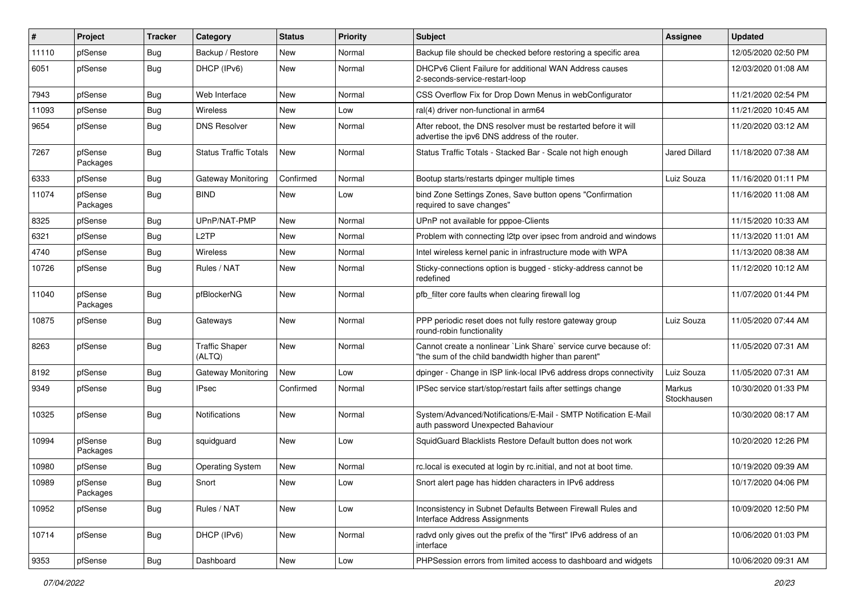| #     | Project             | <b>Tracker</b> | Category                        | <b>Status</b> | <b>Priority</b> | Subject                                                                                                                 | Assignee                     | <b>Updated</b>      |
|-------|---------------------|----------------|---------------------------------|---------------|-----------------|-------------------------------------------------------------------------------------------------------------------------|------------------------------|---------------------|
| 11110 | pfSense             | <b>Bug</b>     | Backup / Restore                | New           | Normal          | Backup file should be checked before restoring a specific area                                                          |                              | 12/05/2020 02:50 PM |
| 6051  | pfSense             | <b>Bug</b>     | DHCP (IPv6)                     | New           | Normal          | DHCPv6 Client Failure for additional WAN Address causes<br>2-seconds-service-restart-loop                               |                              | 12/03/2020 01:08 AM |
| 7943  | pfSense             | <b>Bug</b>     | Web Interface                   | New           | Normal          | CSS Overflow Fix for Drop Down Menus in webConfigurator                                                                 |                              | 11/21/2020 02:54 PM |
| 11093 | pfSense             | <b>Bug</b>     | Wireless                        | <b>New</b>    | Low             | ral(4) driver non-functional in arm64                                                                                   |                              | 11/21/2020 10:45 AM |
| 9654  | pfSense             | <b>Bug</b>     | <b>DNS Resolver</b>             | New           | Normal          | After reboot, the DNS resolver must be restarted before it will<br>advertise the ipv6 DNS address of the router.        |                              | 11/20/2020 03:12 AM |
| 7267  | pfSense<br>Packages | Bug            | <b>Status Traffic Totals</b>    | New           | Normal          | Status Traffic Totals - Stacked Bar - Scale not high enough                                                             | Jared Dillard                | 11/18/2020 07:38 AM |
| 6333  | pfSense             | <b>Bug</b>     | Gateway Monitoring              | Confirmed     | Normal          | Bootup starts/restarts dpinger multiple times                                                                           | Luiz Souza                   | 11/16/2020 01:11 PM |
| 11074 | pfSense<br>Packages | Bug            | <b>BIND</b>                     | New           | Low             | bind Zone Settings Zones, Save button opens "Confirmation<br>required to save changes"                                  |                              | 11/16/2020 11:08 AM |
| 8325  | pfSense             | Bug            | UPnP/NAT-PMP                    | <b>New</b>    | Normal          | UPnP not available for pppoe-Clients                                                                                    |                              | 11/15/2020 10:33 AM |
| 6321  | pfSense             | <b>Bug</b>     | L <sub>2</sub> TP               | New           | Normal          | Problem with connecting I2tp over ipsec from android and windows                                                        |                              | 11/13/2020 11:01 AM |
| 4740  | pfSense             | <b>Bug</b>     | Wireless                        | New           | Normal          | Intel wireless kernel panic in infrastructure mode with WPA                                                             |                              | 11/13/2020 08:38 AM |
| 10726 | pfSense             | <b>Bug</b>     | Rules / NAT                     | New           | Normal          | Sticky-connections option is bugged - sticky-address cannot be<br>redefined                                             |                              | 11/12/2020 10:12 AM |
| 11040 | pfSense<br>Packages | <b>Bug</b>     | pfBlockerNG                     | New           | Normal          | pfb_filter core faults when clearing firewall log                                                                       |                              | 11/07/2020 01:44 PM |
| 10875 | pfSense             | <b>Bug</b>     | Gateways                        | New           | Normal          | PPP periodic reset does not fully restore gateway group<br>round-robin functionality                                    | Luiz Souza                   | 11/05/2020 07:44 AM |
| 8263  | pfSense             | <b>Bug</b>     | <b>Traffic Shaper</b><br>(ALTQ) | New           | Normal          | Cannot create a nonlinear `Link Share` service curve because of:<br>"the sum of the child bandwidth higher than parent" |                              | 11/05/2020 07:31 AM |
| 8192  | pfSense             | Bug            | <b>Gateway Monitoring</b>       | New           | Low             | dpinger - Change in ISP link-local IPv6 address drops connectivity                                                      | Luiz Souza                   | 11/05/2020 07:31 AM |
| 9349  | pfSense             | <b>Bug</b>     | <b>IPsec</b>                    | Confirmed     | Normal          | IPSec service start/stop/restart fails after settings change                                                            | <b>Markus</b><br>Stockhausen | 10/30/2020 01:33 PM |
| 10325 | pfSense             | <b>Bug</b>     | Notifications                   | New           | Normal          | System/Advanced/Notifications/E-Mail - SMTP Notification E-Mail<br>auth password Unexpected Bahaviour                   |                              | 10/30/2020 08:17 AM |
| 10994 | pfSense<br>Packages | <b>Bug</b>     | squidguard                      | New           | Low             | SquidGuard Blacklists Restore Default button does not work                                                              |                              | 10/20/2020 12:26 PM |
| 10980 | pfSense             | <b>Bug</b>     | <b>Operating System</b>         | New           | Normal          | rc.local is executed at login by rc.initial, and not at boot time.                                                      |                              | 10/19/2020 09:39 AM |
| 10989 | pfSense<br>Packages | <b>Bug</b>     | Snort                           | New           | Low             | Snort alert page has hidden characters in IPv6 address                                                                  |                              | 10/17/2020 04:06 PM |
| 10952 | pfSense             | Bug            | Rules / NAT                     | New           | Low             | Inconsistency in Subnet Defaults Between Firewall Rules and<br>Interface Address Assignments                            |                              | 10/09/2020 12:50 PM |
| 10714 | pfSense             | <b>Bug</b>     | DHCP (IPv6)                     | New           | Normal          | radvd only gives out the prefix of the "first" IPv6 address of an<br>interface                                          |                              | 10/06/2020 01:03 PM |
| 9353  | pfSense             | Bug            | Dashboard                       | New           | Low             | PHPSession errors from limited access to dashboard and widgets                                                          |                              | 10/06/2020 09:31 AM |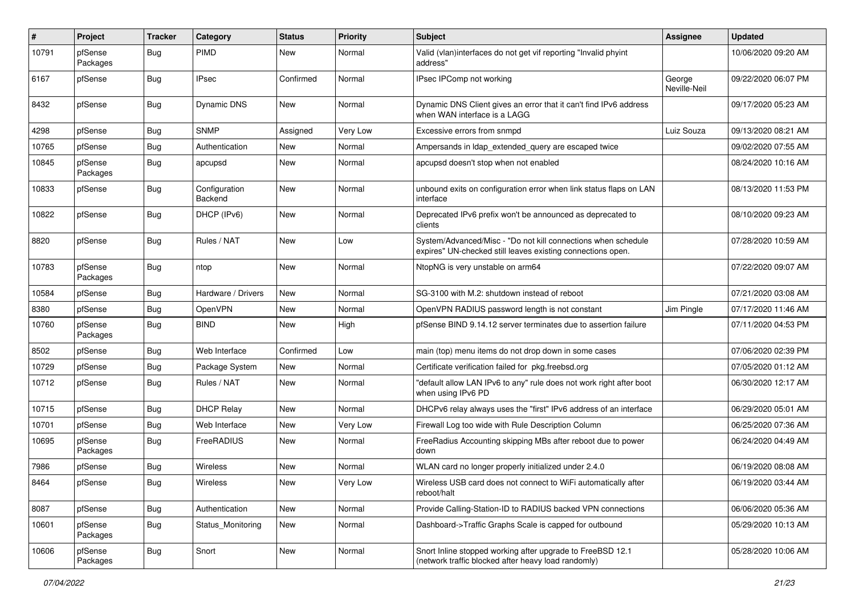| $\pmb{\#}$ | Project             | <b>Tracker</b> | Category                 | <b>Status</b> | <b>Priority</b> | Subject                                                                                                                      | <b>Assignee</b>        | <b>Updated</b>      |
|------------|---------------------|----------------|--------------------------|---------------|-----------------|------------------------------------------------------------------------------------------------------------------------------|------------------------|---------------------|
| 10791      | pfSense<br>Packages | Bug            | PIMD                     | <b>New</b>    | Normal          | Valid (vlan)interfaces do not get vif reporting "Invalid phyint<br>address"                                                  |                        | 10/06/2020 09:20 AM |
| 6167       | pfSense             | Bug            | <b>IPsec</b>             | Confirmed     | Normal          | IPsec IPComp not working                                                                                                     | George<br>Neville-Neil | 09/22/2020 06:07 PM |
| 8432       | pfSense             | <b>Bug</b>     | Dynamic DNS              | New           | Normal          | Dynamic DNS Client gives an error that it can't find IPv6 address<br>when WAN interface is a LAGG                            |                        | 09/17/2020 05:23 AM |
| 4298       | pfSense             | <b>Bug</b>     | <b>SNMP</b>              | Assigned      | Very Low        | Excessive errors from snmpd                                                                                                  | Luiz Souza             | 09/13/2020 08:21 AM |
| 10765      | pfSense             | <b>Bug</b>     | Authentication           | <b>New</b>    | Normal          | Ampersands in Idap_extended_query are escaped twice                                                                          |                        | 09/02/2020 07:55 AM |
| 10845      | pfSense<br>Packages | Bug            | apcupsd                  | New           | Normal          | apcupsd doesn't stop when not enabled                                                                                        |                        | 08/24/2020 10:16 AM |
| 10833      | pfSense             | Bug            | Configuration<br>Backend | New           | Normal          | unbound exits on configuration error when link status flaps on LAN<br>interface                                              |                        | 08/13/2020 11:53 PM |
| 10822      | pfSense             | <b>Bug</b>     | DHCP (IPv6)              | New           | Normal          | Deprecated IPv6 prefix won't be announced as deprecated to<br>clients                                                        |                        | 08/10/2020 09:23 AM |
| 8820       | pfSense             | Bug            | Rules / NAT              | New           | Low             | System/Advanced/Misc - "Do not kill connections when schedule<br>expires" UN-checked still leaves existing connections open. |                        | 07/28/2020 10:59 AM |
| 10783      | pfSense<br>Packages | Bug            | ntop                     | <b>New</b>    | Normal          | NtopNG is very unstable on arm64                                                                                             |                        | 07/22/2020 09:07 AM |
| 10584      | pfSense             | Bug            | Hardware / Drivers       | New           | Normal          | SG-3100 with M.2: shutdown instead of reboot                                                                                 |                        | 07/21/2020 03:08 AM |
| 8380       | pfSense             | <b>Bug</b>     | OpenVPN                  | New           | Normal          | OpenVPN RADIUS password length is not constant                                                                               | Jim Pingle             | 07/17/2020 11:46 AM |
| 10760      | pfSense<br>Packages | <b>Bug</b>     | <b>BIND</b>              | New           | High            | pfSense BIND 9.14.12 server terminates due to assertion failure                                                              |                        | 07/11/2020 04:53 PM |
| 8502       | pfSense             | <b>Bug</b>     | Web Interface            | Confirmed     | Low             | main (top) menu items do not drop down in some cases                                                                         |                        | 07/06/2020 02:39 PM |
| 10729      | pfSense             | Bug            | Package System           | New           | Normal          | Certificate verification failed for pkg.freebsd.org                                                                          |                        | 07/05/2020 01:12 AM |
| 10712      | pfSense             | Bug            | Rules / NAT              | New           | Normal          | "default allow LAN IPv6 to any" rule does not work right after boot<br>when using IPv6 PD                                    |                        | 06/30/2020 12:17 AM |
| 10715      | pfSense             | <b>Bug</b>     | <b>DHCP Relay</b>        | New           | Normal          | DHCPv6 relay always uses the "first" IPv6 address of an interface                                                            |                        | 06/29/2020 05:01 AM |
| 10701      | pfSense             | Bug            | Web Interface            | New           | Very Low        | Firewall Log too wide with Rule Description Column                                                                           |                        | 06/25/2020 07:36 AM |
| 10695      | pfSense<br>Packages | <b>Bug</b>     | FreeRADIUS               | New           | Normal          | FreeRadius Accounting skipping MBs after reboot due to power<br>down                                                         |                        | 06/24/2020 04:49 AM |
| 7986       | pfSense             | <b>Bug</b>     | Wireless                 | <b>New</b>    | Normal          | WLAN card no longer properly initialized under 2.4.0                                                                         |                        | 06/19/2020 08:08 AM |
| 8464       | pfSense             | <b>Bug</b>     | Wireless                 | New           | Very Low        | Wireless USB card does not connect to WiFi automatically after<br>reboot/halt                                                |                        | 06/19/2020 03:44 AM |
| 8087       | pfSense             | Bug            | Authentication           | New           | Normal          | Provide Calling-Station-ID to RADIUS backed VPN connections                                                                  |                        | 06/06/2020 05:36 AM |
| 10601      | pfSense<br>Packages | Bug            | Status_Monitoring        | New           | Normal          | Dashboard->Traffic Graphs Scale is capped for outbound                                                                       |                        | 05/29/2020 10:13 AM |
| 10606      | pfSense<br>Packages | Bug            | Snort                    | New           | Normal          | Snort Inline stopped working after upgrade to FreeBSD 12.1<br>(network traffic blocked after heavy load randomly)            |                        | 05/28/2020 10:06 AM |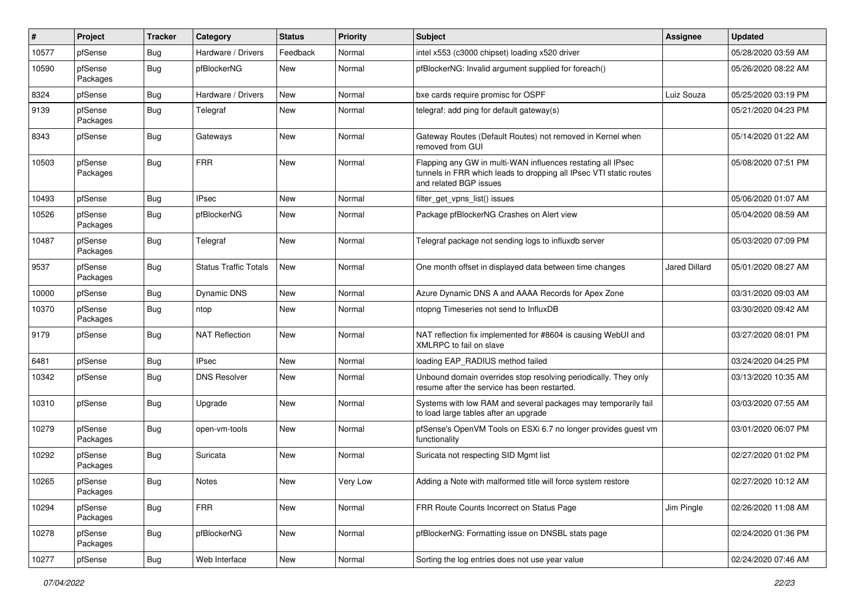| #     | Project             | <b>Tracker</b> | Category                     | <b>Status</b> | <b>Priority</b> | Subject                                                                                                                                                     | <b>Assignee</b> | <b>Updated</b>      |
|-------|---------------------|----------------|------------------------------|---------------|-----------------|-------------------------------------------------------------------------------------------------------------------------------------------------------------|-----------------|---------------------|
| 10577 | pfSense             | <b>Bug</b>     | Hardware / Drivers           | Feedback      | Normal          | intel x553 (c3000 chipset) loading x520 driver                                                                                                              |                 | 05/28/2020 03:59 AM |
| 10590 | pfSense<br>Packages | <b>Bug</b>     | pfBlockerNG                  | New           | Normal          | pfBlockerNG: Invalid argument supplied for foreach()                                                                                                        |                 | 05/26/2020 08:22 AM |
| 8324  | pfSense             | <b>Bug</b>     | Hardware / Drivers           | <b>New</b>    | Normal          | bxe cards require promisc for OSPF                                                                                                                          | Luiz Souza      | 05/25/2020 03:19 PM |
| 9139  | pfSense<br>Packages | <b>Bug</b>     | Telegraf                     | New           | Normal          | telegraf: add ping for default gateway(s)                                                                                                                   |                 | 05/21/2020 04:23 PM |
| 8343  | pfSense             | <b>Bug</b>     | Gateways                     | <b>New</b>    | Normal          | Gateway Routes (Default Routes) not removed in Kernel when<br>removed from GUI                                                                              |                 | 05/14/2020 01:22 AM |
| 10503 | pfSense<br>Packages | <b>Bug</b>     | <b>FRR</b>                   | <b>New</b>    | Normal          | Flapping any GW in multi-WAN influences restating all IPsec<br>tunnels in FRR which leads to dropping all IPsec VTI static routes<br>and related BGP issues |                 | 05/08/2020 07:51 PM |
| 10493 | pfSense             | Bug            | <b>IPsec</b>                 | <b>New</b>    | Normal          | filter get vpns list() issues                                                                                                                               |                 | 05/06/2020 01:07 AM |
| 10526 | pfSense<br>Packages | <b>Bug</b>     | pfBlockerNG                  | <b>New</b>    | Normal          | Package pfBlockerNG Crashes on Alert view                                                                                                                   |                 | 05/04/2020 08:59 AM |
| 10487 | pfSense<br>Packages | <b>Bug</b>     | Telegraf                     | <b>New</b>    | Normal          | Telegraf package not sending logs to influxdb server                                                                                                        |                 | 05/03/2020 07:09 PM |
| 9537  | pfSense<br>Packages | Bug            | <b>Status Traffic Totals</b> | New           | Normal          | One month offset in displayed data between time changes                                                                                                     | Jared Dillard   | 05/01/2020 08:27 AM |
| 10000 | pfSense             | <b>Bug</b>     | Dynamic DNS                  | New           | Normal          | Azure Dynamic DNS A and AAAA Records for Apex Zone                                                                                                          |                 | 03/31/2020 09:03 AM |
| 10370 | pfSense<br>Packages | <b>Bug</b>     | ntop                         | New           | Normal          | ntopng Timeseries not send to InfluxDB                                                                                                                      |                 | 03/30/2020 09:42 AM |
| 9179  | pfSense             | <b>Bug</b>     | <b>NAT Reflection</b>        | New           | Normal          | NAT reflection fix implemented for #8604 is causing WebUI and<br>XMLRPC to fail on slave                                                                    |                 | 03/27/2020 08:01 PM |
| 6481  | pfSense             | <b>Bug</b>     | <b>IPsec</b>                 | New           | Normal          | loading EAP_RADIUS method failed                                                                                                                            |                 | 03/24/2020 04:25 PM |
| 10342 | pfSense             | <b>Bug</b>     | <b>DNS Resolver</b>          | <b>New</b>    | Normal          | Unbound domain overrides stop resolving periodically. They only<br>resume after the service has been restarted.                                             |                 | 03/13/2020 10:35 AM |
| 10310 | pfSense             | <b>Bug</b>     | Upgrade                      | <b>New</b>    | Normal          | Systems with low RAM and several packages may temporarily fail<br>to load large tables after an upgrade                                                     |                 | 03/03/2020 07:55 AM |
| 10279 | pfSense<br>Packages | <b>Bug</b>     | open-vm-tools                | New           | Normal          | pfSense's OpenVM Tools on ESXi 6.7 no longer provides guest vm<br>functionality                                                                             |                 | 03/01/2020 06:07 PM |
| 10292 | pfSense<br>Packages | <b>Bug</b>     | Suricata                     | New           | Normal          | Suricata not respecting SID Mgmt list                                                                                                                       |                 | 02/27/2020 01:02 PM |
| 10265 | pfSense<br>Packages | Bug            | <b>Notes</b>                 | New           | Very Low        | Adding a Note with malformed title will force system restore                                                                                                |                 | 02/27/2020 10:12 AM |
| 10294 | pfSense<br>Packages | Bug            | <b>FRR</b>                   | New           | Normal          | FRR Route Counts Incorrect on Status Page                                                                                                                   | Jim Pingle      | 02/26/2020 11:08 AM |
| 10278 | pfSense<br>Packages | <b>Bug</b>     | pfBlockerNG                  | New           | Normal          | pfBlockerNG: Formatting issue on DNSBL stats page                                                                                                           |                 | 02/24/2020 01:36 PM |
| 10277 | pfSense             | Bug            | Web Interface                | New           | Normal          | Sorting the log entries does not use year value                                                                                                             |                 | 02/24/2020 07:46 AM |